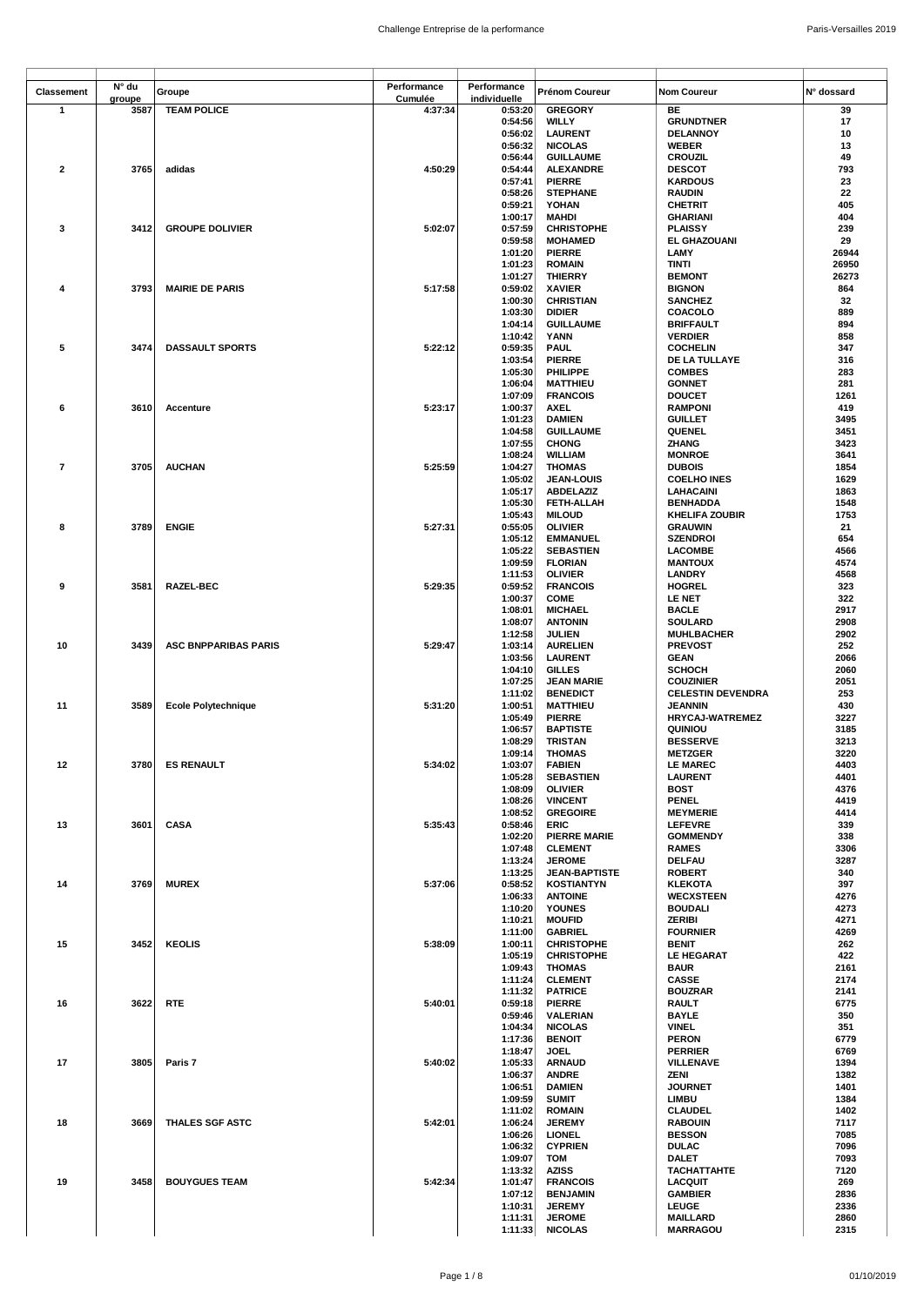| Classement              | N° du  | Groupe                      | Performance | Performance  | Prénom Coureur       | <b>Nom Coureur</b>       | N° dossard |
|-------------------------|--------|-----------------------------|-------------|--------------|----------------------|--------------------------|------------|
|                         | groupe |                             | Cumulée     | individuelle |                      |                          |            |
| $\mathbf{1}$            | 3587   | <b>TEAM POLICE</b>          | 4:37:34     | 0:53:20      | <b>GREGORY</b>       | BE                       | 39         |
|                         |        |                             |             | 0:54:56      | <b>WILLY</b>         | <b>GRUNDTNER</b>         | 17         |
|                         |        |                             |             | 0:56:02      | <b>LAURENT</b>       | <b>DELANNOY</b>          | 10         |
|                         |        |                             |             | 0:56:32      | <b>NICOLAS</b>       | <b>WEBER</b>             | 13         |
|                         |        |                             |             | 0:56:44      | <b>GUILLAUME</b>     | CROUZIL                  | 49         |
| $\overline{\mathbf{2}}$ | 3765   | adidas                      | 4:50:29     | 0:54:44      | <b>ALEXANDRE</b>     | <b>DESCOT</b>            | 793        |
|                         |        |                             |             | 0:57:41      | <b>PIERRE</b>        | <b>KARDOUS</b>           | 23         |
|                         |        |                             |             | 0:58:26      | <b>STEPHANE</b>      | <b>RAUDIN</b>            | 22         |
|                         |        |                             |             | 0:59:21      | YOHAN                | <b>CHETRIT</b>           | 405        |
|                         |        |                             |             |              |                      |                          |            |
|                         |        |                             |             | 1:00:17      | <b>MAHDI</b>         | <b>GHARIANI</b>          | 404        |
| 3                       | 3412   | <b>GROUPE DOLIVIER</b>      | 5:02:07     | 0:57:59      | <b>CHRISTOPHE</b>    | <b>PLAISSY</b>           | 239        |
|                         |        |                             |             | 0:59:58      | <b>MOHAMED</b>       | EL GHAZOUANI             | 29         |
|                         |        |                             |             | 1:01:20      | <b>PIERRE</b>        | LAMY                     | 26944      |
|                         |        |                             |             | 1:01:23      | <b>ROMAIN</b>        | TINTI                    | 26950      |
|                         |        |                             |             | 1:01:27      | <b>THIERRY</b>       | <b>BEMONT</b>            | 26273      |
| 4                       | 3793   | <b>MAIRIE DE PARIS</b>      | 5:17:58     | 0:59:02      | <b>XAVIER</b>        | <b>BIGNON</b>            | 864        |
|                         |        |                             |             | 1:00:30      | <b>CHRISTIAN</b>     | <b>SANCHEZ</b>           | 32         |
|                         |        |                             |             | 1:03:30      | <b>DIDIER</b>        | COACOLO                  | 889        |
|                         |        |                             |             | 1:04:14      | <b>GUILLAUME</b>     | <b>BRIFFAULT</b>         | 894        |
|                         |        |                             |             | 1:10:42      | YANN                 | <b>VERDIER</b>           | 858        |
| 5                       | 3474   | <b>DASSAULT SPORTS</b>      | 5:22:12     | 0:59:35      | <b>PAUL</b>          | <b>COCHELIN</b>          | 347        |
|                         |        |                             |             | 1:03:54      | <b>PIERRE</b>        | DE LA TULLAYE            | 316        |
|                         |        |                             |             | 1:05:30      |                      |                          | 283        |
|                         |        |                             |             |              | PHILIPPE             | <b>COMBES</b>            | 281        |
|                         |        |                             |             | 1:06:04      | <b>MATTHIEU</b>      | <b>GONNET</b>            |            |
|                         |        |                             |             | 1:07:09      | <b>FRANCOIS</b>      | <b>DOUCET</b>            | 1261       |
| 6                       | 3610   | <b>Accenture</b>            | 5:23:17     | 1:00:37      | <b>AXEL</b>          | <b>RAMPONI</b>           | 419        |
|                         |        |                             |             | 1:01:23      | <b>DAMIEN</b>        | <b>GUILLET</b>           | 3495       |
|                         |        |                             |             | 1:04:58      | <b>GUILLAUME</b>     | QUENEL                   | 3451       |
|                         |        |                             |             | 1:07:55      | <b>CHONG</b>         | ZHANG                    | 3423       |
|                         |        |                             |             | 1:08:24      | WILLIAM              | <b>MONROE</b>            | 3641       |
| $\overline{7}$          | 3705   | <b>AUCHAN</b>               | 5:25:59     | 1:04:27      | <b>THOMAS</b>        | <b>DUBOIS</b>            | 1854       |
|                         |        |                             |             | 1:05:02      | <b>JEAN-LOUIS</b>    | <b>COELHO INES</b>       | 1629       |
|                         |        |                             |             | 1:05:17      | <b>ABDELAZIZ</b>     | LAHACAINI                | 1863       |
|                         |        |                             |             | 1:05:30      | FETH-ALLAH           | <b>BENHADDA</b>          | 1548       |
|                         |        |                             |             | 1:05:43      | <b>MILOUD</b>        | <b>KHELIFA ZOUBIR</b>    | 1753       |
| 8                       | 3789   | <b>ENGIE</b>                | 5:27:31     | 0:55:05      | <b>OLIVIER</b>       | <b>GRAUWIN</b>           | 21         |
|                         |        |                             |             | 1:05:12      | <b>EMMANUEL</b>      | <b>SZENDROI</b>          | 654        |
|                         |        |                             |             | 1:05:22      |                      | <b>LACOMBE</b>           |            |
|                         |        |                             |             |              | <b>SEBASTIEN</b>     |                          | 4566       |
|                         |        |                             |             | 1:09:59      | <b>FLORIAN</b>       | <b>MANTOUX</b>           | 4574       |
|                         |        |                             |             | 1:11:53      | <b>OLIVIER</b>       | LANDRY                   | 4568       |
| 9                       | 3581   | RAZEL-BEC                   | 5:29:35     | 0:59:52      | <b>FRANCOIS</b>      | <b>HOGREL</b>            | 323        |
|                         |        |                             |             | 1:00:37      | <b>COME</b>          | <b>LE NET</b>            | 322        |
|                         |        |                             |             | 1:08:01      | <b>MICHAEL</b>       | <b>BACLE</b>             | 2917       |
|                         |        |                             |             | 1:08:07      | <b>ANTONIN</b>       | <b>SOULARD</b>           | 2908       |
|                         |        |                             |             | 1:12:58      | JULIEN               | <b>MUHLBACHER</b>        | 2902       |
| 10                      | 3439   | <b>ASC BNPPARIBAS PARIS</b> | 5:29:47     | 1:03:14      | <b>AURELIEN</b>      | <b>PREVOST</b>           | 252        |
|                         |        |                             |             | 1:03:56      | <b>LAURENT</b>       | <b>GEAN</b>              | 2066       |
|                         |        |                             |             | 1:04:10      | <b>GILLES</b>        | <b>SCHOCH</b>            | 2060       |
|                         |        |                             |             | 1:07:25      | <b>JEAN MARIE</b>    | <b>COUZINIER</b>         | 2051       |
|                         |        |                             |             | 1:11:02      | <b>BENEDICT</b>      | <b>CELESTIN DEVENDRA</b> | 253        |
| 11                      | 3589   | <b>Ecole Polytechnique</b>  | 5:31:20     | 1:00:51      | <b>MATTHIEU</b>      | <b>JEANNIN</b>           | 430        |
|                         |        |                             |             |              |                      |                          | 3227       |
|                         |        |                             |             | 1:05:49      | <b>PIERRE</b>        | <b>HRYCAJ-WATREMEZ</b>   |            |
|                         |        |                             |             | 1:06:57      | <b>BAPTISTE</b>      | QUINIOU                  | 3185       |
|                         |        |                             |             | 1:08:29      | <b>TRISTAN</b>       | <b>BESSERVE</b>          | 3213       |
|                         |        |                             |             | 1:09:14      | <b>THOMAS</b>        | <b>METZGER</b>           | 3220       |
| 12                      |        | 3780 ES RENAULT             | 5:34:02     | 1:03:07      | <b>FABIEN</b>        | <b>LE MAREC</b>          | 4403       |
|                         |        |                             |             | 1:05:28      | <b>SEBASTIEN</b>     | <b>LAURENT</b>           | 4401       |
|                         |        |                             |             | 1:08:09      | <b>OLIVIER</b>       | <b>BOST</b>              | 4376       |
|                         |        |                             |             | 1:08:26      | <b>VINCENT</b>       | <b>PENEL</b>             | 4419       |
|                         |        |                             |             | 1:08:52      | <b>GREGOIRE</b>      | <b>MEYMERIE</b>          | 4414       |
| 13                      | 3601   | <b>CASA</b>                 | 5:35:43     | 0:58:46      | ERIC                 | <b>LEFEVRE</b>           | 339        |
|                         |        |                             |             | 1:02:20      | <b>PIERRE MARIE</b>  | <b>GOMMENDY</b>          | 338        |
|                         |        |                             |             | 1:07:48      | <b>CLEMENT</b>       | <b>RAMES</b>             | 3306       |
|                         |        |                             |             | 1:13:24      | <b>JEROME</b>        | DELFAU                   | 3287       |
|                         |        |                             |             | 1:13:25      | <b>JEAN-BAPTISTE</b> | <b>ROBERT</b>            | 340        |
| 14                      | 3769   | <b>MUREX</b>                | 5:37:06     | 0:58:52      | <b>KOSTIANTYN</b>    | <b>KLEKOTA</b>           | 397        |
|                         |        |                             |             | 1:06:33      | <b>ANTOINE</b>       | <b>WECXSTEEN</b>         | 4276       |
|                         |        |                             |             | 1:10:20      | <b>YOUNES</b>        | <b>BOUDALI</b>           | 4273       |
|                         |        |                             |             | 1:10:21      | <b>MOUFID</b>        | <b>ZERIBI</b>            | 4271       |
|                         |        |                             |             | 1:11:00      | <b>GABRIEL</b>       | <b>FOURNIER</b>          | 4269       |
|                         |        |                             |             |              |                      |                          |            |
| 15                      | 3452   | <b>KEOLIS</b>               | 5:38:09     | 1:00:11      | <b>CHRISTOPHE</b>    | <b>BENIT</b>             | 262        |
|                         |        |                             |             | 1:05:19      | <b>CHRISTOPHE</b>    | <b>LE HEGARAT</b>        | 422        |
|                         |        |                             |             | 1:09:43      | <b>THOMAS</b>        | <b>BAUR</b>              | 2161       |
|                         |        |                             |             | 1:11:24      | <b>CLEMENT</b>       | <b>CASSE</b>             | 2174       |
|                         |        |                             |             | 1:11:32      | <b>PATRICE</b>       | <b>BOUZRAR</b>           | 2141       |
| 16                      | 3622   | <b>RTE</b>                  | 5:40:01     | 0:59:18      | <b>PIERRE</b>        | <b>RAULT</b>             | 6775       |
|                         |        |                             |             | 0:59:46      | VALERIAN             | BAYLE                    | 350        |
|                         |        |                             |             | 1:04:34      | <b>NICOLAS</b>       | <b>VINEL</b>             | 351        |
|                         |        |                             |             | 1:17:36      | <b>BENOIT</b>        | <b>PERON</b>             | 6779       |
|                         |        |                             |             | 1:18:47      | <b>JOEL</b>          | <b>PERRIER</b>           | 6769       |
| 17                      | 3805   | Paris 7                     | 5:40:02     | 1:05:33      | <b>ARNAUD</b>        | VILLENAVE                | 1394       |
|                         |        |                             |             | 1:06:37      | <b>ANDRE</b>         | ZENI                     | 1382       |
|                         |        |                             |             | 1:06:51      | <b>DAMIEN</b>        | <b>JOURNET</b>           | 1401       |
|                         |        |                             |             | 1:09:59      | <b>SUMIT</b>         | LIMBU                    | 1384       |
|                         |        |                             |             | 1:11:02      | <b>ROMAIN</b>        | <b>CLAUDEL</b>           | 1402       |
| 18                      | 3669   | <b>THALES SGF ASTC</b>      | 5:42:01     | 1:06:24      | <b>JEREMY</b>        | <b>RABOUIN</b>           | 7117       |
|                         |        |                             |             | 1:06:26      | <b>LIONEL</b>        | <b>BESSON</b>            | 7085       |
|                         |        |                             |             |              |                      |                          |            |
|                         |        |                             |             | 1:06:32      | <b>CYPRIEN</b>       | <b>DULAC</b>             | 7096       |
|                         |        |                             |             | 1:09:07      | TOM                  | <b>DALET</b>             | 7093       |
|                         |        |                             |             | 1:13:32      | <b>AZISS</b>         | <b>TACHATTAHTE</b>       | 7120       |
| 19                      | 3458   | <b>BOUYGUES TEAM</b>        | 5:42:34     | 1:01:47      | <b>FRANCOIS</b>      | LACQUIT                  | 269        |
|                         |        |                             |             | 1:07:12      | <b>BENJAMIN</b>      | <b>GAMBIER</b>           | 2836       |
|                         |        |                             |             | 1:10:31      | <b>JEREMY</b>        | <b>LEUGE</b>             | 2336       |
|                         |        |                             |             | 1:11:31      | <b>JEROME</b>        | <b>MAILLARD</b>          | 2860       |
|                         |        |                             |             | 1:11:33      | <b>NICOLAS</b>       | <b>MARRAGOU</b>          | 2315       |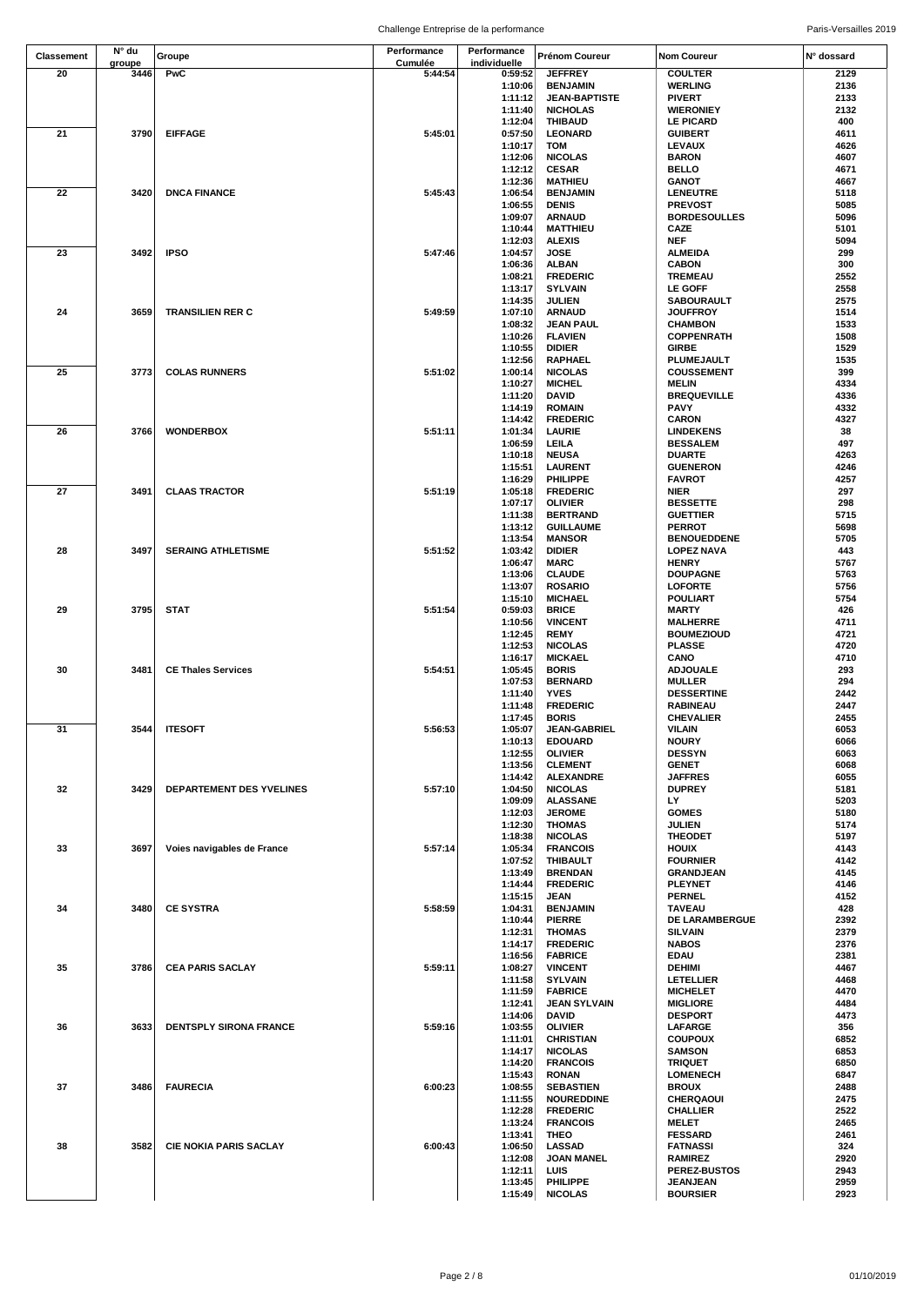| Classement | N° du          | Groupe                        | Performance        | Performance             | Prénom Coureur                       | <b>Nom Coureur</b>                  | N° dossard   |
|------------|----------------|-------------------------------|--------------------|-------------------------|--------------------------------------|-------------------------------------|--------------|
| 20         | groupe<br>3446 | PwC                           | Cumulée<br>5:44:54 | individuelle<br>0:59:52 | <b>JEFFREY</b>                       | <b>COULTER</b>                      | 2129         |
|            |                |                               |                    | 1:10:06                 | <b>BENJAMIN</b>                      | <b>WERLING</b>                      | 2136         |
|            |                |                               |                    | 1:11:12                 | <b>JEAN-BAPTISTE</b>                 | <b>PIVERT</b>                       | 2133         |
|            |                |                               |                    | 1:11:40                 | <b>NICHOLAS</b>                      | <b>WIERONIEY</b>                    | 2132         |
|            |                |                               |                    | 1:12:04                 | <b>THIBAUD</b>                       | LE PICARD                           | 400          |
| 21         | 3790           | <b>EIFFAGE</b>                | 5:45:01            | 0:57:50                 | <b>LEONARD</b>                       | <b>GUIBERT</b>                      | 4611         |
|            |                |                               |                    | 1:10:17<br>1:12:06      | TOM<br><b>NICOLAS</b>                | LEVAUX<br><b>BARON</b>              | 4626<br>4607 |
|            |                |                               |                    | 1:12:12                 | <b>CESAR</b>                         | <b>BELLO</b>                        | 4671         |
|            |                |                               |                    | 1:12:36                 | <b>MATHIEU</b>                       | <b>GANOT</b>                        | 4667         |
| 22         | 3420           | <b>DNCA FINANCE</b>           | 5:45:43            | 1:06:54                 | <b>BENJAMIN</b>                      | <b>LENEUTRE</b>                     | 5118         |
|            |                |                               |                    | 1:06:55                 | <b>DENIS</b>                         | <b>PREVOST</b>                      | 5085         |
|            |                |                               |                    | 1:09:07                 | <b>ARNAUD</b>                        | <b>BORDESOULLES</b>                 | 5096         |
|            |                |                               |                    | 1:10:44                 | <b>MATTHIEU</b>                      | CAZE<br><b>NEF</b>                  | 5101<br>5094 |
| 23         | 3492           | <b>IPSO</b>                   | 5:47:46            | 1:12:03<br>1:04:57      | <b>ALEXIS</b><br><b>JOSE</b>         | <b>ALMEIDA</b>                      | 299          |
|            |                |                               |                    | 1:06:36                 | <b>ALBAN</b>                         | <b>CABON</b>                        | 300          |
|            |                |                               |                    | 1:08:21                 | <b>FREDERIC</b>                      | <b>TREMEAU</b>                      | 2552         |
|            |                |                               |                    | 1:13:17                 | <b>SYLVAIN</b>                       | <b>LE GOFF</b>                      | 2558         |
|            |                |                               |                    | 1:14:35                 | JULIEN                               | SABOURAULT                          | 2575         |
| 24         | 3659           | <b>TRANSILIEN RER C</b>       | 5:49:59            | 1:07:10<br>1:08:32      | <b>ARNAUD</b><br>JEAN PAUL           | <b>JOUFFROY</b><br><b>CHAMBON</b>   | 1514<br>1533 |
|            |                |                               |                    | 1:10:26                 | <b>FLAVIEN</b>                       | <b>COPPENRATH</b>                   | 1508         |
|            |                |                               |                    | 1:10:55                 | <b>DIDIER</b>                        | GIRBE                               | 1529         |
|            |                |                               |                    | 1:12:56                 | RAPHAEL                              | PLUMEJAULT                          | 1535         |
| 25         | 3773           | <b>COLAS RUNNERS</b>          | 5:51:02            | 1:00:14                 | <b>NICOLAS</b>                       | <b>COUSSEMENT</b>                   | 399          |
|            |                |                               |                    | 1:10:27                 | <b>MICHEL</b>                        | <b>MELIN</b>                        | 4334         |
|            |                |                               |                    | 1:11:20                 | <b>DAVID</b>                         | <b>BREQUEVILLE</b>                  | 4336         |
|            |                |                               |                    | 1:14:19<br>1:14:42      | <b>ROMAIN</b><br><b>FREDERIC</b>     | PAVY<br><b>CARON</b>                | 4332<br>4327 |
| 26         | 3766           | <b>WONDERBOX</b>              | 5:51:11            | 1:01:34                 | LAURIE                               | <b>LINDEKENS</b>                    | 38           |
|            |                |                               |                    | 1:06:59                 | LEILA                                | <b>BESSALEM</b>                     | 497          |
|            |                |                               |                    | 1:10:18                 | <b>NEUSA</b>                         | <b>DUARTE</b>                       | 4263         |
|            |                |                               |                    | 1:15:51                 | <b>LAURENT</b>                       | <b>GUENERON</b>                     | 4246         |
|            |                |                               |                    | 1:16:29                 | PHILIPPE                             | <b>FAVROT</b>                       | 4257         |
| 27         | 3491           | <b>CLAAS TRACTOR</b>          | 5:51:19            | 1:05:18<br>1:07:17      | <b>FREDERIC</b><br><b>OLIVIER</b>    | <b>NIER</b>                         | 297<br>298   |
|            |                |                               |                    | 1:11:38                 | <b>BERTRAND</b>                      | <b>BESSETTE</b><br><b>GUETTIER</b>  | 5715         |
|            |                |                               |                    | 1:13:12                 | <b>GUILLAUME</b>                     | <b>PERROT</b>                       | 5698         |
|            |                |                               |                    | 1:13:54                 | <b>MANSOR</b>                        | <b>BENOUEDDENE</b>                  | 5705         |
| 28         | 3497           | <b>SERAING ATHLETISME</b>     | 5:51:52            | 1:03:42                 | <b>DIDIER</b>                        | <b>LOPEZ NAVA</b>                   | 443          |
|            |                |                               |                    | 1:06:47                 | <b>MARC</b>                          | <b>HENRY</b>                        | 5767         |
|            |                |                               |                    | 1:13:06                 | <b>CLAUDE</b>                        | <b>DOUPAGNE</b>                     | 5763         |
|            |                |                               |                    | 1:13:07<br>1:15:10      | <b>ROSARIO</b><br><b>MICHAEL</b>     | LOFORTE<br><b>POULIART</b>          | 5756<br>5754 |
| 29         | 3795           | <b>STAT</b>                   | 5:51:54            | 0:59:03                 | <b>BRICE</b>                         | <b>MARTY</b>                        | 426          |
|            |                |                               |                    | 1:10:56                 | <b>VINCENT</b>                       | <b>MALHERRE</b>                     | 4711         |
|            |                |                               |                    | 1:12:45                 | <b>REMY</b>                          | <b>BOUMEZIOUD</b>                   | 4721         |
|            |                |                               |                    | 1:12:53                 | <b>NICOLAS</b>                       | <b>PLASSE</b>                       | 4720         |
|            |                |                               |                    | 1:16:17                 | <b>MICKAEL</b>                       | CANO                                | 4710         |
| 30         | 3481           | <b>CE Thales Services</b>     | 5:54:51            | 1:05:45                 | <b>BORIS</b>                         | <b>ADJOUALE</b>                     | 293          |
|            |                |                               |                    | 1:07:53<br>1:11:40      | <b>BERNARD</b><br><b>YVES</b>        | <b>MULLER</b><br><b>DESSERTINE</b>  | 294<br>2442  |
|            |                |                               |                    | 1:11:48                 | <b>FREDERIC</b>                      | <b>RABINEAU</b>                     | 2447         |
|            |                |                               |                    | 1:17:45                 | <b>BORIS</b>                         | <b>CHEVALIER</b>                    | 2455         |
| 31         | 3544           | <b>ITESOFT</b>                | 5:56:53            | 1:05:07                 | <b>JEAN-GABRIEL</b>                  | VILAIN                              | 6053         |
|            |                |                               |                    | 1:10:13                 | <b>EDOUARD</b>                       | <b>NOURY</b>                        | 6066         |
|            |                |                               |                    | 1:12:55                 | <b>OLIVIER</b>                       | <b>DESSYN</b>                       | 6063         |
|            |                |                               |                    | 1:13:56<br>1:14:42      | <b>CLEMENT</b><br><b>ALEXANDRE</b>   | <b>GENET</b><br><b>JAFFRES</b>      | 6068<br>6055 |
| 32         | 3429           | DEPARTEMENT DES YVELINES      | 5:57:10            | 1:04:50                 | <b>NICOLAS</b>                       | <b>DUPREY</b>                       | 5181         |
|            |                |                               |                    | 1:09:09                 | <b>ALASSANE</b>                      | LY                                  | 5203         |
|            |                |                               |                    | 1:12:03                 | <b>JEROME</b>                        | <b>GOMES</b>                        | 5180         |
|            |                |                               |                    | 1:12:30                 | <b>THOMAS</b>                        | JULIEN                              | 5174         |
|            |                |                               |                    | 1:18:38                 | <b>NICOLAS</b>                       | <b>THEODET</b>                      | 5197         |
| 33         | 3697           | Voies navigables de France    | 5:57:14            | 1:05:34<br>1:07:52      | <b>FRANCOIS</b><br><b>THIBAULT</b>   | HOUIX<br><b>FOURNIER</b>            | 4143<br>4142 |
|            |                |                               |                    | 1:13:49                 | <b>BRENDAN</b>                       | <b>GRANDJEAN</b>                    | 4145         |
|            |                |                               |                    | 1:14:44                 | <b>FREDERIC</b>                      | <b>PLEYNET</b>                      | 4146         |
|            |                |                               |                    | 1:15:15                 | JEAN                                 | <b>PERNEL</b>                       | 4152         |
| 34         | 3480           | <b>CE SYSTRA</b>              | 5:58:59            | 1:04:31                 | <b>BENJAMIN</b>                      | <b>TAVEAU</b>                       | 428          |
|            |                |                               |                    | 1:10:44                 | <b>PIERRE</b>                        | DE LARAMBERGUE                      | 2392         |
|            |                |                               |                    | 1:12:31<br>1:14:17      | <b>THOMAS</b><br><b>FREDERIC</b>     | <b>SILVAIN</b><br><b>NABOS</b>      | 2379<br>2376 |
|            |                |                               |                    | 1:16:56                 | <b>FABRICE</b>                       | <b>EDAU</b>                         | 2381         |
| 35         | 3786           | <b>CEA PARIS SACLAY</b>       | 5:59:11            | 1:08:27                 | <b>VINCENT</b>                       | <b>DEHIMI</b>                       | 4467         |
|            |                |                               |                    | 1:11:58                 | <b>SYLVAIN</b>                       | LETELLIER                           | 4468         |
|            |                |                               |                    | 1:11:59                 | <b>FABRICE</b>                       | <b>MICHELET</b>                     | 4470         |
|            |                |                               |                    | 1:12:41                 | JEAN SYLVAIN                         | <b>MIGLIORE</b>                     | 4484         |
| 36         | 3633           | DENTSPLY SIRONA FRANCE        | 5:59:16            | 1:14:06<br>1:03:55      | <b>DAVID</b><br><b>OLIVIER</b>       | <b>DESPORT</b><br>LAFARGE           | 4473<br>356  |
|            |                |                               |                    | 1:11:01                 | <b>CHRISTIAN</b>                     | <b>COUPOUX</b>                      | 6852         |
|            |                |                               |                    | 1:14:17                 | <b>NICOLAS</b>                       | <b>SAMSON</b>                       | 6853         |
|            |                |                               |                    | 1:14:20                 | <b>FRANCOIS</b>                      | <b>TRIQUET</b>                      | 6850         |
|            |                |                               |                    | 1:15:43                 | <b>RONAN</b>                         | <b>LOMENECH</b>                     | 6847         |
| 37         | 3486           | <b>FAURECIA</b>               | 6:00:23            | 1:08:55                 | <b>SEBASTIEN</b>                     | <b>BROUX</b>                        | 2488         |
|            |                |                               |                    | 1:11:55<br>1:12:28      | <b>NOUREDDINE</b><br><b>FREDERIC</b> | <b>CHERQAOUI</b><br><b>CHALLIER</b> | 2475<br>2522 |
|            |                |                               |                    | 1:13:24                 | <b>FRANCOIS</b>                      | <b>MELET</b>                        | 2465         |
|            |                |                               |                    | 1:13:41                 | THEO                                 | <b>FESSARD</b>                      | 2461         |
| 38         | 3582           | <b>CIE NOKIA PARIS SACLAY</b> | 6:00:43            | 1:06:50                 | <b>LASSAD</b>                        | <b>FATNASSI</b>                     | 324          |
|            |                |                               |                    | 1:12:08                 | <b>JOAN MANEL</b>                    | <b>RAMIREZ</b>                      | 2920         |
|            |                |                               |                    | 1:12:11                 | LUIS                                 | PEREZ-BUSTOS                        | 2943         |
|            |                |                               |                    | 1:13:45<br>1:15:49      | <b>PHILIPPE</b><br><b>NICOLAS</b>    | JEANJEAN<br><b>BOURSIER</b>         | 2959<br>2923 |
|            |                |                               |                    |                         |                                      |                                     |              |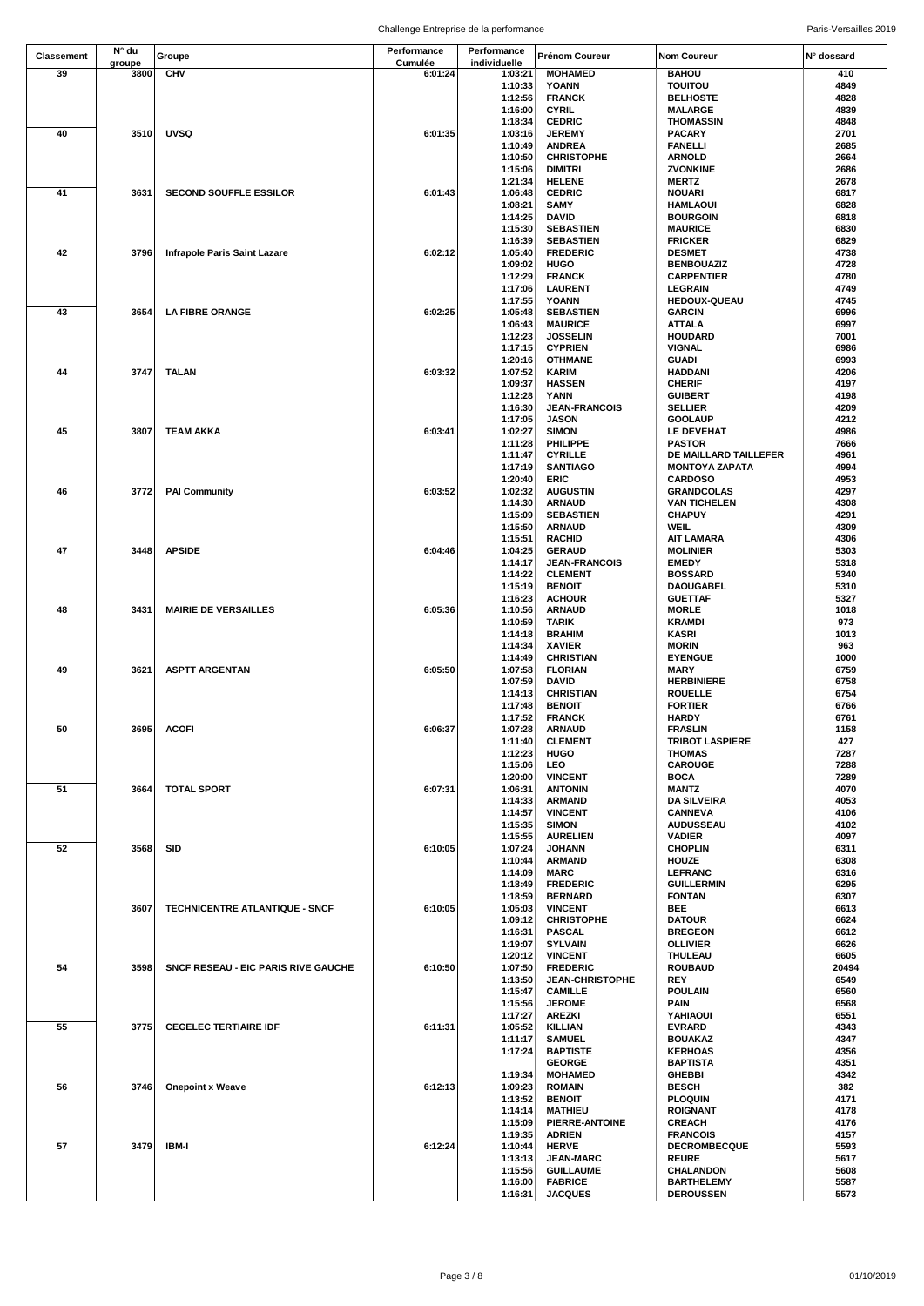| Classement | N° du  |                                       | Performance | Performance        | Prénom Coureur                            | <b>Nom Coureur</b>                     | N° dossard    |
|------------|--------|---------------------------------------|-------------|--------------------|-------------------------------------------|----------------------------------------|---------------|
|            | groupe | Groupe                                | Cumulée     | individuelle       |                                           |                                        |               |
| 39         | 3800   | <b>CHV</b>                            | 6:01:24     | 1:03:21            | <b>MOHAMED</b>                            | <b>BAHOU</b>                           | 410           |
|            |        |                                       |             | 1:10:33            | YOANN                                     | <b>TOUITOU</b>                         | 4849          |
|            |        |                                       |             | 1:12:56            | <b>FRANCK</b>                             | <b>BELHOSTE</b>                        | 4828          |
|            |        |                                       |             | 1:16:00<br>1:18:34 | <b>CYRIL</b><br><b>CEDRIC</b>             | <b>MALARGE</b><br><b>THOMASSIN</b>     | 4839<br>4848  |
| 40         | 3510   | <b>UVSQ</b>                           | 6:01:35     | 1:03:16            | <b>JEREMY</b>                             | <b>PACARY</b>                          | 2701          |
|            |        |                                       |             | 1:10:49            | <b>ANDREA</b>                             | <b>FANELLI</b>                         | 2685          |
|            |        |                                       |             | 1:10:50            | <b>CHRISTOPHE</b>                         | <b>ARNOLD</b>                          | 2664          |
|            |        |                                       |             | 1:15:06            | <b>DIMITRI</b>                            | ZVONKINE                               | 2686          |
|            |        |                                       |             | 1:21:34            | <b>HELENE</b>                             | <b>MERTZ</b>                           | 2678          |
| 41         | 3631   | <b>SECOND SOUFFLE ESSILOR</b>         | 6:01:43     | 1:06:48            | <b>CEDRIC</b>                             | <b>NOUARI</b>                          | 6817          |
|            |        |                                       |             | 1:08:21            | SAMY                                      | <b>HAMLAOUI</b>                        | 6828          |
|            |        |                                       |             | 1:14:25            | <b>DAVID</b>                              | <b>BOURGOIN</b>                        | 6818          |
|            |        |                                       |             | 1:15:30            | <b>SEBASTIEN</b>                          | <b>MAURICE</b>                         | 6830          |
|            |        |                                       |             | 1:16:39            | <b>SEBASTIEN</b>                          | <b>FRICKER</b>                         | 6829          |
| 42         | 3796   | Infrapole Paris Saint Lazare          | 6:02:12     | 1:05:40            | <b>FREDERIC</b>                           | <b>DESMET</b>                          | 4738          |
|            |        |                                       |             | 1:09:02<br>1:12:29 | HUGO<br><b>FRANCK</b>                     | <b>BENBOUAZIZ</b><br><b>CARPENTIER</b> | 4728<br>4780  |
|            |        |                                       |             | 1:17:06            | LAURENT                                   | <b>LEGRAIN</b>                         | 4749          |
|            |        |                                       |             | 1:17:55            | YOANN                                     | <b>HEDOUX-QUEAU</b>                    | 4745          |
| 43         | 3654   | <b>LA FIBRE ORANGE</b>                | 6:02:25     | 1:05:48            | <b>SEBASTIEN</b>                          | <b>GARCIN</b>                          | 6996          |
|            |        |                                       |             | 1:06:43            | <b>MAURICE</b>                            | <b>ATTALA</b>                          | 6997          |
|            |        |                                       |             | 1:12:23            | <b>JOSSELIN</b>                           | <b>HOUDARD</b>                         | 7001          |
|            |        |                                       |             | 1:17:15            | <b>CYPRIEN</b>                            | <b>VIGNAL</b>                          | 6986          |
|            |        |                                       |             | 1:20:16            | <b>OTHMANE</b>                            | <b>GUADI</b>                           | 6993          |
| 44         | 3747   | <b>TALAN</b>                          | 6:03:32     | 1:07:52            | <b>KARIM</b>                              | <b>HADDANI</b>                         | 4206          |
|            |        |                                       |             | 1:09:37<br>1:12:28 | <b>HASSEN</b>                             | <b>CHERIF</b>                          | 4197          |
|            |        |                                       |             | 1:16:30            | YANN<br><b>JEAN-FRANCOIS</b>              | <b>GUIBERT</b><br><b>SELLIER</b>       | 4198<br>4209  |
|            |        |                                       |             | 1:17:05            | <b>JASON</b>                              | <b>GOOLAUP</b>                         | 4212          |
| 45         | 3807   | <b>TEAM AKKA</b>                      | 6:03:41     | 1:02:27            | <b>SIMON</b>                              | LE DEVEHAT                             | 4986          |
|            |        |                                       |             | 1:11:28            | PHILIPPE                                  | <b>PASTOR</b>                          | 7666          |
|            |        |                                       |             | 1:11:47            | <b>CYRILLE</b>                            | DE MAILLARD TAILLEFER                  | 4961          |
|            |        |                                       |             | 1:17:19            | <b>SANTIAGO</b>                           | <b>MONTOYA ZAPATA</b>                  | 4994          |
|            |        |                                       |             | 1:20:40            | <b>ERIC</b>                               | <b>CARDOSO</b>                         | 4953          |
| 46         | 3772   | <b>PAI Community</b>                  | 6:03:52     | 1:02:32            | <b>AUGUSTIN</b>                           | <b>GRANDCOLAS</b>                      | 4297          |
|            |        |                                       |             | 1:14:30            | <b>ARNAUD</b>                             | <b>VAN TICHELEN</b>                    | 4308          |
|            |        |                                       |             | 1:15:09            | <b>SEBASTIEN</b>                          | <b>CHAPUY</b>                          | 4291          |
|            |        |                                       |             | 1:15:50            | <b>ARNAUD</b>                             | <b>WEIL</b>                            | 4309          |
| 47         |        |                                       |             | 1:15:51            | <b>RACHID</b>                             | <b>AIT LAMARA</b>                      | 4306          |
|            | 3448   | <b>APSIDE</b>                         | 6:04:46     | 1:04:25<br>1:14:17 | <b>GERAUD</b><br><b>JEAN-FRANCOIS</b>     | <b>MOLINIER</b><br><b>EMEDY</b>        | 5303<br>5318  |
|            |        |                                       |             | 1:14:22            | <b>CLEMENT</b>                            | <b>BOSSARD</b>                         | 5340          |
|            |        |                                       |             | 1:15:19            | <b>BENOIT</b>                             | <b>DAOUGABEL</b>                       | 5310          |
|            |        |                                       |             | 1:16:23            | <b>ACHOUR</b>                             | <b>GUETTAF</b>                         | 5327          |
| 48         | 3431   | <b>MAIRIE DE VERSAILLES</b>           | 6:05:36     | 1:10:56            | <b>ARNAUD</b>                             | <b>MORLE</b>                           | 1018          |
|            |        |                                       |             | 1:10:59            | <b>TARIK</b>                              | <b>KRAMDI</b>                          | 973           |
|            |        |                                       |             | 1:14:18            | <b>BRAHIM</b>                             | <b>KASRI</b>                           | 1013          |
|            |        |                                       |             | 1:14:34            | <b>XAVIER</b>                             | <b>MORIN</b>                           | 963           |
|            |        |                                       |             | 1:14:49            | <b>CHRISTIAN</b>                          | <b>EYENGUE</b>                         | 1000          |
| 49         | 3621   | <b>ASPTT ARGENTAN</b>                 | 6:05:50     | 1:07:58            | <b>FLORIAN</b>                            | MARY                                   | 6759          |
|            |        |                                       |             | 1:07:59            | DAVID                                     | <b>HERBINIERE</b>                      | 6758          |
|            |        |                                       |             | 1:14:13            | <b>CHRISTIAN</b>                          | <b>ROUELLE</b>                         | 6754          |
|            |        |                                       |             | 1:17:48<br>1:17:52 | <b>BENOIT</b><br><b>FRANCK</b>            | <b>FORTIER</b><br><b>HARDY</b>         | 6766<br>6761  |
| 50         | 3695   | <b>ACOFI</b>                          | 6:06:37     | 1:07:28            | <b>ARNAUD</b>                             | <b>FRASLIN</b>                         | 1158          |
|            |        |                                       |             | 1:11:40            | <b>CLEMENT</b>                            | <b>TRIBOT LASPIERE</b>                 | 427           |
|            |        |                                       |             | 1:12:23            | HUGO                                      | <b>THOMAS</b>                          | 7287          |
|            |        |                                       |             | 1:15:06            | LEO                                       | <b>CAROUGE</b>                         | 7288          |
|            |        |                                       |             | 1:20:00            | <b>VINCENT</b>                            | <b>BOCA</b>                            | 7289          |
| 51         | 3664   | <b>TOTAL SPORT</b>                    | 6:07:31     | 1:06:31            | <b>ANTONIN</b>                            | <b>MANTZ</b>                           | 4070          |
|            |        |                                       |             | 1:14:33            | <b>ARMAND</b>                             | <b>DA SILVEIRA</b>                     | 4053          |
|            |        |                                       |             | 1:14:57            | <b>VINCENT</b>                            | <b>CANNEVA</b>                         | 4106          |
|            |        |                                       |             | 1:15:35            | <b>SIMON</b>                              | <b>AUDUSSEAU</b>                       | 4102          |
| 52         | 3568   | <b>SID</b>                            | 6:10:05     | 1:15:55<br>1:07:24 | <b>AURELIEN</b><br><b>JOHANN</b>          | <b>VADIER</b><br><b>CHOPLIN</b>        | 4097<br>6311  |
|            |        |                                       |             | 1:10:44            | <b>ARMAND</b>                             | <b>HOUZE</b>                           | 6308          |
|            |        |                                       |             | 1:14:09            | <b>MARC</b>                               | LEFRANC                                | 6316          |
|            |        |                                       |             | 1:18:49            | <b>FREDERIC</b>                           | <b>GUILLERMIN</b>                      | 6295          |
|            |        |                                       |             | 1:18:59            | <b>BERNARD</b>                            | <b>FONTAN</b>                          | 6307          |
|            | 3607   | <b>TECHNICENTRE ATLANTIQUE - SNCF</b> | 6:10:05     | 1:05:03            | <b>VINCENT</b>                            | BEE                                    | 6613          |
|            |        |                                       |             | 1:09:12            | <b>CHRISTOPHE</b>                         | <b>DATOUR</b>                          | 6624          |
|            |        |                                       |             | 1:16:31            | <b>PASCAL</b>                             | <b>BREGEON</b>                         | 6612          |
|            |        |                                       |             | 1:19:07            | <b>SYLVAIN</b>                            | <b>OLLIVIER</b>                        | 6626          |
|            |        |                                       |             | 1:20:12            | <b>VINCENT</b>                            | THULEAU                                | 6605          |
| 54         | 3598   | SNCF RESEAU - EIC PARIS RIVE GAUCHE   | 6:10:50     | 1:07:50<br>1:13:50 | <b>FREDERIC</b><br><b>JEAN-CHRISTOPHE</b> | <b>ROUBAUD</b><br>REY                  | 20494<br>6549 |
|            |        |                                       |             | 1:15:47            | <b>CAMILLE</b>                            | <b>POULAIN</b>                         | 6560          |
|            |        |                                       |             | 1:15:56            | <b>JEROME</b>                             | <b>PAIN</b>                            | 6568          |
|            |        |                                       |             | 1:17:27            | <b>AREZKI</b>                             | YAHIAOUI                               | 6551          |
| 55         | 3775   | <b>CEGELEC TERTIAIRE IDF</b>          | 6:11:31     | 1:05:52            | <b>KILLIAN</b>                            | <b>EVRARD</b>                          | 4343          |
|            |        |                                       |             | 1:11:17            | <b>SAMUEL</b>                             | <b>BOUAKAZ</b>                         | 4347          |
|            |        |                                       |             | 1:17:24            | <b>BAPTISTE</b>                           | <b>KERHOAS</b>                         | 4356          |
|            |        |                                       |             |                    | <b>GEORGE</b>                             | <b>BAPTISTA</b>                        | 4351          |
|            |        |                                       |             | 1:19:34            | <b>MOHAMED</b>                            | <b>GHEBBI</b>                          | 4342          |
| 56         | 3746   | <b>Onepoint x Weave</b>               | 6:12:13     | 1:09:23            | <b>ROMAIN</b>                             | <b>BESCH</b>                           | 382           |
|            |        |                                       |             | 1:13:52<br>1:14:14 | <b>BENOIT</b><br><b>MATHIEU</b>           | <b>PLOQUIN</b><br><b>ROIGNANT</b>      | 4171<br>4178  |
|            |        |                                       |             | 1:15:09            | PIERRE-ANTOINE                            | <b>CREACH</b>                          | 4176          |
|            |        |                                       |             | 1:19:35            | <b>ADRIEN</b>                             | <b>FRANCOIS</b>                        | 4157          |
| 57         | 3479   | IBM-I                                 | 6:12:24     | 1:10:44            | <b>HERVE</b>                              | <b>DECROMBECQUE</b>                    | 5593          |
|            |        |                                       |             | 1:13:13            | <b>JEAN-MARC</b>                          | <b>REURE</b>                           | 5617          |
|            |        |                                       |             | 1:15:56            | <b>GUILLAUME</b>                          | CHALANDON                              | 5608          |
|            |        |                                       |             | 1:16:00            | <b>FABRICE</b>                            | <b>BARTHELEMY</b>                      | 5587          |
|            |        |                                       |             | 1:16:31            | <b>JACQUES</b>                            | <b>DEROUSSEN</b>                       | 5573          |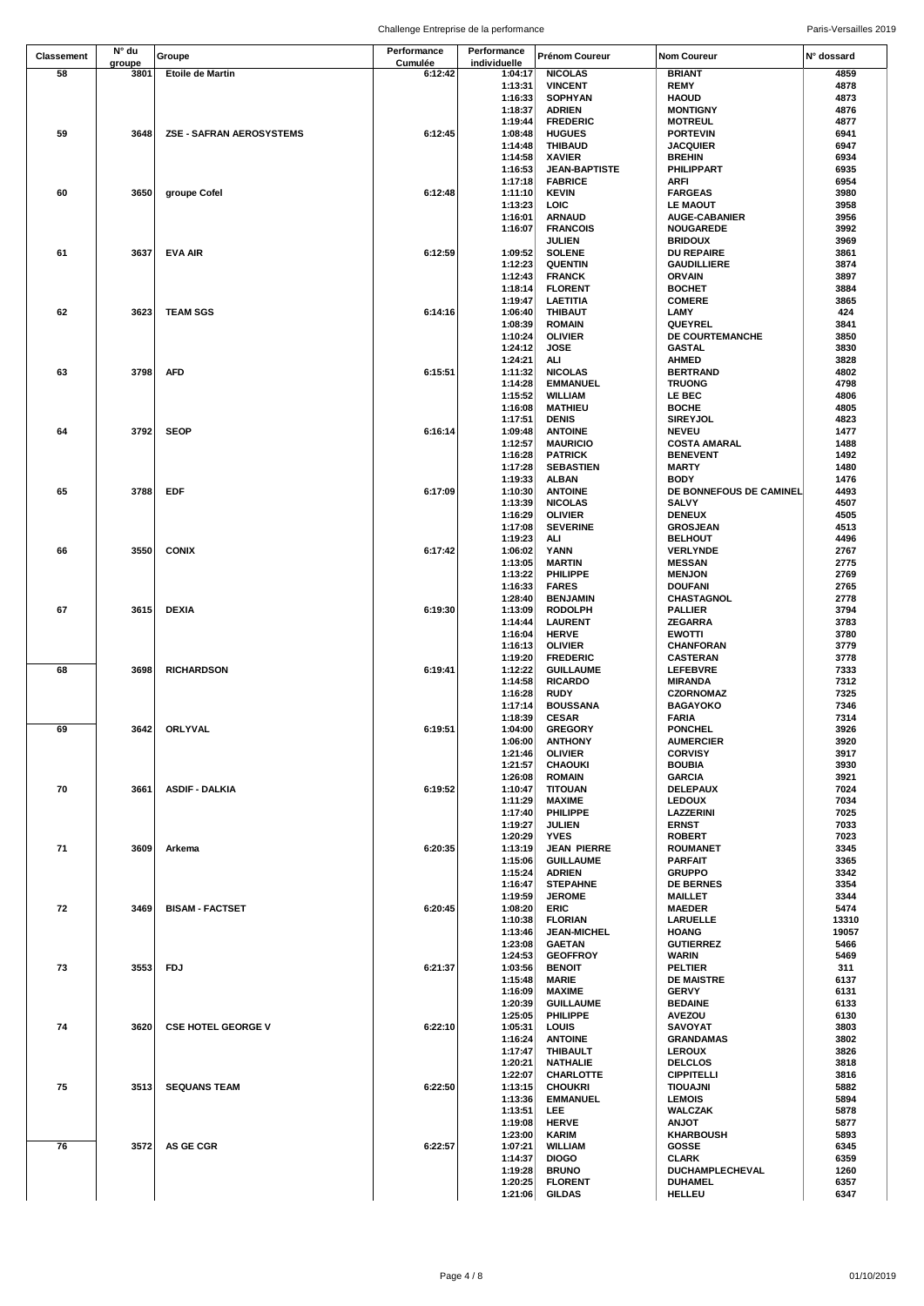| <b>Classement</b> | N° du  | Groupe                          | Performance        | Performance        | Prénom Coureur                    | <b>Nom Coureur</b>                      | N° dossard    |
|-------------------|--------|---------------------------------|--------------------|--------------------|-----------------------------------|-----------------------------------------|---------------|
| 58                | groupe | <b>Etoile de Martin</b>         | Cumulée<br>6:12:42 | individuelle       | <b>NICOLAS</b>                    | <b>BRIANT</b>                           | 4859          |
|                   | 3801   |                                 |                    | 1:04:17<br>1:13:31 | <b>VINCENT</b>                    | <b>REMY</b>                             | 4878          |
|                   |        |                                 |                    | 1:16:33            | <b>SOPHYAN</b>                    | <b>HAOUD</b>                            | 4873          |
|                   |        |                                 |                    | 1:18:37            | <b>ADRIEN</b>                     | <b>MONTIGNY</b>                         | 4876          |
|                   |        |                                 |                    | 1:19:44            | <b>FREDERIC</b>                   | <b>MOTREUL</b>                          | 4877          |
| 59                | 3648   | <b>ZSE - SAFRAN AEROSYSTEMS</b> | 6:12:45            | 1:08:48            | <b>HUGUES</b>                     | <b>PORTEVIN</b>                         | 6941          |
|                   |        |                                 |                    | 1:14:48            | <b>THIBAUD</b>                    | <b>JACQUIER</b>                         | 6947          |
|                   |        |                                 |                    | 1:14:58            | <b>XAVIER</b>                     | <b>BREHIN</b>                           | 6934          |
|                   |        |                                 |                    | 1:16:53            | <b>JEAN-BAPTISTE</b>              | <b>PHILIPPART</b>                       | 6935          |
|                   |        |                                 |                    | 1:17:18            | <b>FABRICE</b>                    | <b>ARFI</b>                             | 6954          |
| 60                | 3650   | groupe Cofel                    | 6:12:48            | 1:11:10            | <b>KEVIN</b>                      | <b>FARGEAS</b>                          | 3980          |
|                   |        |                                 |                    | 1:13:23            | LOIC                              | <b>LE MAOUT</b>                         | 3958          |
|                   |        |                                 |                    | 1:16:01            | <b>ARNAUD</b>                     | <b>AUGE-CABANIER</b>                    | 3956          |
|                   |        |                                 |                    | 1:16:07            | <b>FRANCOIS</b>                   | <b>NOUGAREDE</b>                        | 3992          |
|                   |        |                                 |                    |                    | JULIEN                            | <b>BRIDOUX</b>                          | 3969          |
| 61                | 3637   | <b>EVA AIR</b>                  | 6:12:59            | 1:09:52<br>1:12:23 | <b>SOLENE</b><br><b>QUENTIN</b>   | <b>DU REPAIRE</b><br><b>GAUDILLIERE</b> | 3861<br>3874  |
|                   |        |                                 |                    | 1:12:43            | <b>FRANCK</b>                     | <b>ORVAIN</b>                           | 3897          |
|                   |        |                                 |                    | 1:18:14            | <b>FLORENT</b>                    | <b>BOCHET</b>                           | 3884          |
|                   |        |                                 |                    | 1:19:47            | LAETITIA                          | <b>COMERE</b>                           | 3865          |
| 62                | 3623   | <b>TEAM SGS</b>                 | 6:14:16            | 1:06:40            | THIBAUT                           | LAMY                                    | 424           |
|                   |        |                                 |                    | 1:08:39            | <b>ROMAIN</b>                     | QUEYREL                                 | 3841          |
|                   |        |                                 |                    | 1:10:24            | <b>OLIVIER</b>                    | DE COURTEMANCHE                         | 3850          |
|                   |        |                                 |                    | 1:24:12            | JOSE                              | <b>GASTAL</b>                           | 3830          |
|                   |        |                                 |                    | 1:24:21            | ALI                               | <b>AHMED</b>                            | 3828          |
| 63                | 3798   | <b>AFD</b>                      | 6:15:51            | 1:11:32            | <b>NICOLAS</b>                    | <b>BERTRAND</b>                         | 4802          |
|                   |        |                                 |                    | 1:14:28            | <b>EMMANUEL</b>                   | <b>TRUONG</b>                           | 4798          |
|                   |        |                                 |                    | 1:15:52            | WILLIAM                           | LE BEC                                  | 4806          |
|                   |        |                                 |                    | 1:16:08            | <b>MATHIEU</b><br><b>DENIS</b>    | <b>BOCHE</b>                            | 4805          |
| 64                | 3792   | <b>SEOP</b>                     | 6:16:14            | 1:17:51<br>1:09:48 | <b>ANTOINE</b>                    | <b>SIREYJOL</b><br><b>NEVEU</b>         | 4823<br>1477  |
|                   |        |                                 |                    | 1:12:57            | <b>MAURICIO</b>                   | <b>COSTA AMARAL</b>                     | 1488          |
|                   |        |                                 |                    | 1:16:28            | <b>PATRICK</b>                    | <b>BENEVENT</b>                         | 1492          |
|                   |        |                                 |                    | 1:17:28            | <b>SEBASTIEN</b>                  | <b>MARTY</b>                            | 1480          |
|                   |        |                                 |                    | 1:19:33            | <b>ALBAN</b>                      | <b>BODY</b>                             | 1476          |
| 65                | 3788   | <b>EDF</b>                      | 6:17:09            | 1:10:30            | <b>ANTOINE</b>                    | DE BONNEFOUS DE CAMINEL                 | 4493          |
|                   |        |                                 |                    | 1:13:39            | <b>NICOLAS</b>                    | <b>SALVY</b>                            | 4507          |
|                   |        |                                 |                    | 1:16:29            | <b>OLIVIER</b>                    | <b>DENEUX</b>                           | 4505          |
|                   |        |                                 |                    | 1:17:08            | <b>SEVERINE</b>                   | <b>GROSJEAN</b>                         | 4513          |
|                   |        |                                 |                    | 1:19:23            | ALI                               | <b>BELHOUT</b>                          | 4496          |
| 66                | 3550   | <b>CONIX</b>                    | 6:17:42            | 1:06:02            | YANN                              | <b>VERLYNDE</b>                         | 2767          |
|                   |        |                                 |                    | 1:13:05            | <b>MARTIN</b>                     | <b>MESSAN</b>                           | 2775          |
|                   |        |                                 |                    | 1:13:22            | PHILIPPE                          | <b>MENJON</b>                           | 2769<br>2765  |
|                   |        |                                 |                    | 1:16:33<br>1:28:40 | <b>FARES</b><br><b>BENJAMIN</b>   | <b>DOUFANI</b><br><b>CHASTAGNOL</b>     | 2778          |
| 67                | 3615   | <b>DEXIA</b>                    | 6:19:30            | 1:13:09            | <b>RODOLPH</b>                    | <b>PALLIER</b>                          | 3794          |
|                   |        |                                 |                    | 1:14:44            | <b>LAURENT</b>                    | <b>ZEGARRA</b>                          | 3783          |
|                   |        |                                 |                    | 1:16:04            | <b>HERVE</b>                      | <b>EWOTTI</b>                           | 3780          |
|                   |        |                                 |                    | 1:16:13            | <b>OLIVIER</b>                    | <b>CHANFORAN</b>                        | 3779          |
|                   |        |                                 |                    | 1:19:20            | <b>FREDERIC</b>                   | <b>CASTERAN</b>                         | 3778          |
| 68                | 3698   | <b>RICHARDSON</b>               | 6:19:41            | 1:12:22            | <b>GUILLAUME</b>                  | <b>LEFEBVRE</b>                         | 7333          |
|                   |        |                                 |                    | 1:14:58            | <b>RICARDO</b>                    | <b>MIRANDA</b>                          | 7312          |
|                   |        |                                 |                    | 1:16:28            | <b>RUDY</b>                       | <b>CZORNOMAZ</b>                        | 7325          |
|                   |        |                                 |                    | 1:17:14            | <b>BOUSSANA</b>                   | <b>BAGAYOKO</b>                         | 7346          |
|                   |        |                                 |                    | 1:18:39            | <b>CESAR</b>                      | <b>FARIA</b>                            | 7314          |
| 69                | 3642   | ORLYVAL                         | 6:19:51            | 1:04:00            | <b>GREGORY</b>                    | <b>PONCHEL</b>                          | 3926          |
|                   |        |                                 |                    | 1:06:00<br>1:21:46 | <b>ANTHONY</b><br><b>OLIVIER</b>  | <b>AUMERCIER</b>                        | 3920          |
|                   |        |                                 |                    | 1:21:57            | <b>CHAOUKI</b>                    | <b>CORVISY</b><br><b>BOUBIA</b>         | 3917<br>3930  |
|                   |        |                                 |                    | 1:26:08            | <b>ROMAIN</b>                     | <b>GARCIA</b>                           | 3921          |
| 70                | 3661   | <b>ASDIF - DALKIA</b>           | 6:19:52            | 1:10:47            | <b>TITOUAN</b>                    | <b>DELEPAUX</b>                         | 7024          |
|                   |        |                                 |                    | 1:11:29            | <b>MAXIME</b>                     | <b>LEDOUX</b>                           | 7034          |
|                   |        |                                 |                    | 1:17:40            | <b>PHILIPPE</b>                   | LAZZERINI                               | 7025          |
|                   |        |                                 |                    | 1:19:27            | <b>JULIEN</b>                     | <b>ERNST</b>                            | 7033          |
|                   |        |                                 |                    | 1:20:29            | <b>YVES</b>                       | <b>ROBERT</b>                           | 7023          |
| 71                | 3609   | Arkema                          | 6:20:35            | 1:13:19            | JEAN PIERRE                       | <b>ROUMANET</b>                         | 3345          |
|                   |        |                                 |                    | 1:15:06            | <b>GUILLAUME</b>                  | <b>PARFAIT</b>                          | 3365          |
|                   |        |                                 |                    | 1:15:24            | <b>ADRIEN</b>                     | <b>GRUPPO</b>                           | 3342          |
|                   |        |                                 |                    | 1:16:47            | <b>STEPAHNE</b>                   | <b>DE BERNES</b>                        | 3354          |
|                   |        |                                 |                    | 1:19:59            | <b>JEROME</b>                     | <b>MAILLET</b>                          | 3344          |
| 72                | 3469   | <b>BISAM - FACTSET</b>          | 6:20:45            | 1:08:20<br>1:10:38 | <b>ERIC</b><br><b>FLORIAN</b>     | <b>MAEDER</b><br>LARUELLE               | 5474<br>13310 |
|                   |        |                                 |                    | 1:13:46            | <b>JEAN-MICHEL</b>                | <b>HOANG</b>                            | 19057         |
|                   |        |                                 |                    | 1:23:08            | <b>GAETAN</b>                     | <b>GUTIERREZ</b>                        | 5466          |
|                   |        |                                 |                    | 1:24:53            | <b>GEOFFROY</b>                   | <b>WARIN</b>                            | 5469          |
| 73                | 3553   | <b>FDJ</b>                      | 6:21:37            | 1:03:56            | <b>BENOIT</b>                     | <b>PELTIER</b>                          | 311           |
|                   |        |                                 |                    | 1:15:48            | <b>MARIE</b>                      | <b>DE MAISTRE</b>                       | 6137          |
|                   |        |                                 |                    | 1:16:09            | <b>MAXIME</b>                     | <b>GERVY</b>                            | 6131          |
|                   |        |                                 |                    | 1:20:39            | <b>GUILLAUME</b>                  | <b>BEDAINE</b>                          | 6133          |
|                   |        |                                 |                    | 1:25:05            | <b>PHILIPPE</b>                   | <b>AVEZOU</b>                           | 6130          |
| 74                | 3620   | <b>CSE HOTEL GEORGE V</b>       | 6:22:10            | 1:05:31            | LOUIS                             | <b>SAVOYAT</b>                          | 3803          |
|                   |        |                                 |                    | 1:16:24            | <b>ANTOINE</b>                    | <b>GRANDAMAS</b>                        | 3802          |
|                   |        |                                 |                    | 1:17:47            | <b>THIBAULT</b>                   | <b>LEROUX</b>                           | 3826          |
|                   |        |                                 |                    | 1:20:21            | <b>NATHALIE</b>                   | <b>DELCLOS</b>                          | 3818          |
|                   |        |                                 |                    | 1:22:07            | CHARLOTTE                         | <b>CIPPITELLI</b>                       | 3816          |
| 75                | 3513   | <b>SEQUANS TEAM</b>             | 6:22:50            | 1:13:15<br>1:13:36 | <b>CHOUKRI</b><br><b>EMMANUEL</b> | <b>TIOUAJNI</b><br><b>LEMOIS</b>        | 5882<br>5894  |
|                   |        |                                 |                    | 1:13:51            | LEE.                              | <b>WALCZAK</b>                          | 5878          |
|                   |        |                                 |                    | 1:19:08            | <b>HERVE</b>                      | <b>ANJOT</b>                            | 5877          |
|                   |        |                                 |                    | 1:23:00            | <b>KARIM</b>                      | <b>KHARBOUSH</b>                        | 5893          |
| 76                | 3572   | AS GE CGR                       | 6:22:57            | 1:07:21            | <b>WILLIAM</b>                    | GOSSE                                   | 6345          |
|                   |        |                                 |                    | 1:14:37            | <b>DIOGO</b>                      | <b>CLARK</b>                            | 6359          |
|                   |        |                                 |                    | 1:19:28            | <b>BRUNO</b>                      | DUCHAMPLECHEVAL                         | 1260          |
|                   |        |                                 |                    | 1:20:25            | <b>FLORENT</b>                    | <b>DUHAMEL</b>                          | 6357          |
|                   |        |                                 |                    | 1:21:06            | <b>GILDAS</b>                     | <b>HELLEU</b>                           | 6347          |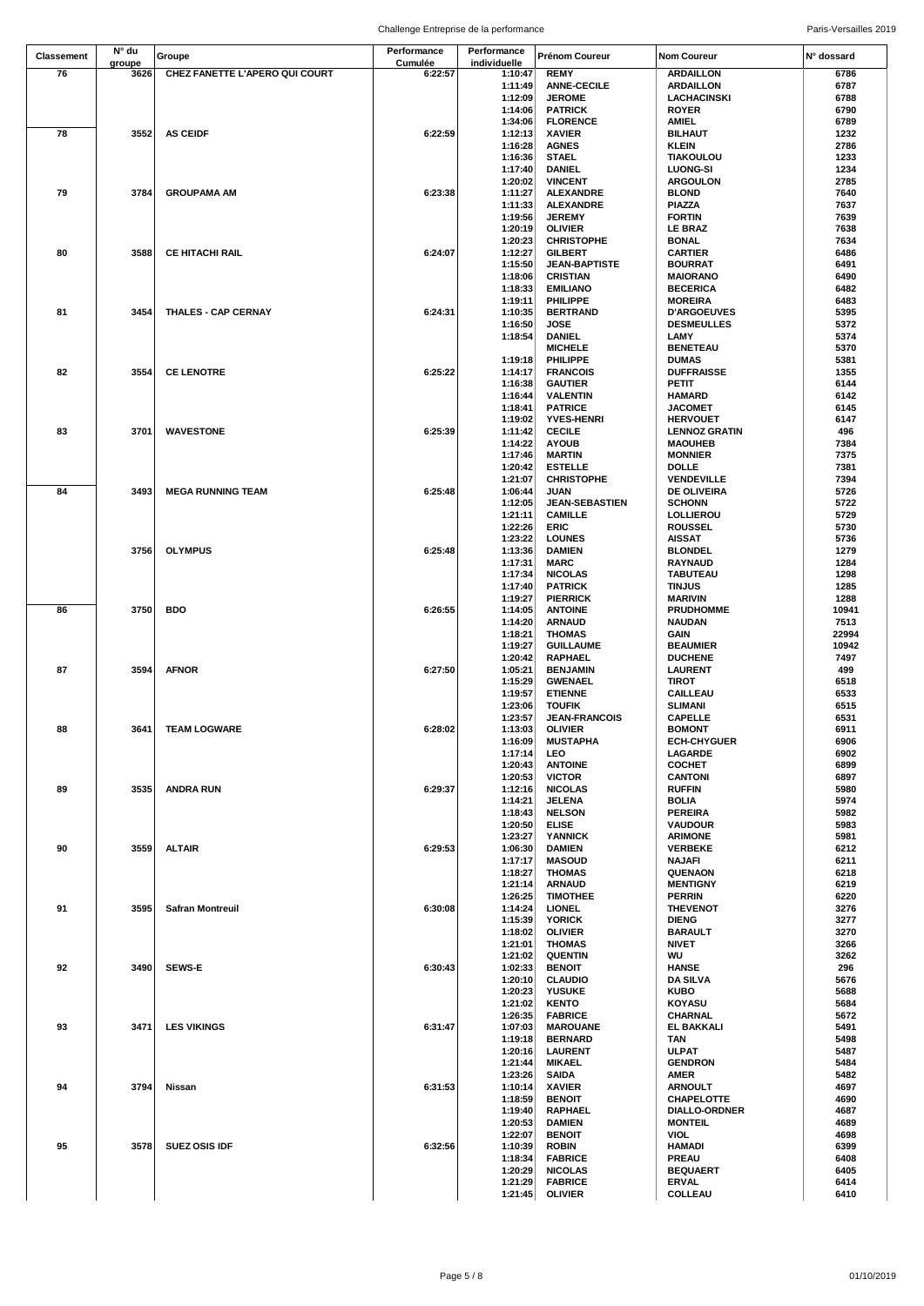|                   | N° du  |                                | Performance | Performance        |                                        |                                      |              |
|-------------------|--------|--------------------------------|-------------|--------------------|----------------------------------------|--------------------------------------|--------------|
| <b>Classement</b> | groupe | Groupe                         | Cumulée     | individuelle       | <b>Prénom Coureur</b>                  | <b>Nom Coureur</b>                   | N° dossard   |
| 76                | 3626   | CHEZ FANETTE L'APERO QUI COURT | 6:22:57     | 1:10:47            | <b>REMY</b>                            | <b>ARDAILLON</b>                     | 6786         |
|                   |        |                                |             | 1:11:49            | <b>ANNE-CECILE</b>                     | <b>ARDAILLON</b>                     | 6787         |
|                   |        |                                |             | 1:12:09            | <b>JEROME</b>                          | <b>LACHACINSKI</b>                   | 6788         |
|                   |        |                                |             | 1:14:06            | <b>PATRICK</b>                         | <b>ROYER</b>                         | 6790         |
|                   |        |                                |             | 1:34:06            | <b>FLORENCE</b>                        | <b>AMIEL</b>                         | 6789         |
| 78                | 3552   | <b>AS CEIDF</b>                | 6:22:59     | 1:12:13            | <b>XAVIER</b>                          | <b>BILHAUT</b>                       | 1232         |
|                   |        |                                |             | 1:16:28            | <b>AGNES</b>                           | KLEIN                                | 2786         |
|                   |        |                                |             | 1:16:36            | <b>STAEL</b>                           | <b>TIAKOULOU</b>                     | 1233         |
|                   |        |                                |             | 1:17:40            | DANIEL                                 | <b>LUONG-SI</b>                      | 1234         |
|                   |        |                                |             | 1:20:02            | <b>VINCENT</b>                         | <b>ARGOULON</b>                      | 2785         |
| 79                | 3784   | <b>GROUPAMA AM</b>             | 6:23:38     | 1:11:27            | <b>ALEXANDRE</b>                       | <b>BLOND</b>                         | 7640         |
|                   |        |                                |             | 1:11:33            | <b>ALEXANDRE</b>                       | <b>PIAZZA</b>                        | 7637         |
|                   |        |                                |             | 1:19:56            | <b>JEREMY</b>                          | <b>FORTIN</b>                        | 7639         |
|                   |        |                                |             |                    |                                        |                                      |              |
|                   |        |                                |             | 1:20:19<br>1:20:23 | <b>OLIVIER</b><br><b>CHRISTOPHE</b>    | <b>LE BRAZ</b>                       | 7638<br>7634 |
| 80                | 3588   | <b>CE HITACHI RAIL</b>         | 6:24:07     |                    |                                        | BONAL                                |              |
|                   |        |                                |             | 1:12:27<br>1:15:50 | <b>GILBERT</b><br><b>JEAN-BAPTISTE</b> | <b>CARTIER</b><br><b>BOURRAT</b>     | 6486<br>6491 |
|                   |        |                                |             |                    |                                        |                                      |              |
|                   |        |                                |             | 1:18:06<br>1:18:33 | <b>CRISTIAN</b><br><b>EMILIANO</b>     | <b>MAIORANO</b><br><b>BECERICA</b>   | 6490<br>6482 |
|                   |        |                                |             | 1:19:11            | PHILIPPE                               |                                      | 6483         |
| 81                | 3454   | <b>THALES - CAP CERNAY</b>     | 6:24:31     | 1:10:35            | <b>BERTRAND</b>                        | <b>MOREIRA</b><br><b>D'ARGOEUVES</b> | 5395         |
|                   |        |                                |             |                    |                                        |                                      |              |
|                   |        |                                |             | 1:16:50            | JOSE                                   | <b>DESMEULLES</b>                    | 5372         |
|                   |        |                                |             | 1:18:54            | <b>DANIEL</b>                          | LAMY                                 | 5374         |
|                   |        |                                |             |                    | <b>MICHELE</b>                         | <b>BENETEAU</b>                      | 5370         |
|                   |        |                                |             | 1:19:18            | PHILIPPE                               | <b>DUMAS</b>                         | 5381         |
| 82                | 3554   | <b>CE LENOTRE</b>              | 6:25:22     | 1:14:17            | <b>FRANCOIS</b>                        | <b>DUFFRAISSE</b>                    | 1355         |
|                   |        |                                |             | 1:16:38            | <b>GAUTIER</b>                         | PETIT                                | 6144         |
|                   |        |                                |             | 1:16:44            | <b>VALENTIN</b>                        | <b>HAMARD</b>                        | 6142         |
|                   |        |                                |             | 1:18:41            | <b>PATRICE</b>                         | <b>JACOMET</b>                       | 6145         |
|                   |        |                                |             | 1:19:02            | <b>YVES-HENRI</b>                      | <b>HERVOUET</b>                      | 6147         |
| 83                | 3701   | <b>WAVESTONE</b>               | 6:25:39     | 1:11:42            | <b>CECILE</b>                          | <b>LENNOZ GRATIN</b>                 | 496          |
|                   |        |                                |             | 1:14:22            | <b>AYOUB</b>                           | <b>MAOUHEB</b>                       | 7384         |
|                   |        |                                |             | 1:17:46            | <b>MARTIN</b>                          | <b>MONNIER</b>                       | 7375         |
|                   |        |                                |             | 1:20:42            | <b>ESTELLE</b>                         | DOLLE                                | 7381         |
|                   |        |                                |             | 1:21:07            | <b>CHRISTOPHE</b>                      | <b>VENDEVILLE</b>                    | 7394         |
| 84                | 3493   | <b>MEGA RUNNING TEAM</b>       | 6:25:48     | 1:06:44            | <b>JUAN</b>                            | DE OLIVEIRA                          | 5726         |
|                   |        |                                |             | 1:12:05            | <b>JEAN-SEBASTIEN</b>                  | <b>SCHONN</b>                        | 5722         |
|                   |        |                                |             | 1:21:11            | <b>CAMILLE</b>                         | LOLLIEROU                            | 5729         |
|                   |        |                                |             | 1:22:26            | <b>ERIC</b>                            | <b>ROUSSEL</b>                       | 5730         |
|                   |        |                                |             | 1:23:22            | <b>LOUNES</b>                          | <b>AISSAT</b>                        | 5736         |
|                   | 3756   | <b>OLYMPUS</b>                 | 6:25:48     | 1:13:36            | <b>DAMIEN</b>                          | <b>BLONDEL</b>                       | 1279         |
|                   |        |                                |             | 1:17:31            | <b>MARC</b>                            | RAYNAUD                              | 1284         |
|                   |        |                                |             | 1:17:34            | <b>NICOLAS</b>                         | <b>TABUTEAU</b>                      | 1298         |
|                   |        |                                |             | 1:17:40            | <b>PATRICK</b>                         | <b>TINJUS</b>                        | 1285         |
|                   |        |                                |             | 1:19:27            | <b>PIERRICK</b>                        | <b>MARIVIN</b>                       | 1288         |
| 86                | 3750   | <b>BDO</b>                     | 6:26:55     | 1:14:05            | <b>ANTOINE</b>                         | <b>PRUDHOMME</b>                     | 10941        |
|                   |        |                                |             | 1:14:20            | <b>ARNAUD</b>                          | <b>NAUDAN</b>                        | 7513         |
|                   |        |                                |             | 1:18:21            | <b>THOMAS</b>                          | GAIN                                 | 22994        |
|                   |        |                                |             | 1:19:27            | <b>GUILLAUME</b>                       | <b>BEAUMIER</b>                      | 10942        |
|                   |        |                                |             | 1:20:42            | RAPHAEL                                | <b>DUCHENE</b>                       | 7497         |
| 87                | 3594   | <b>AFNOR</b>                   | 6:27:50     | 1:05:21            | <b>BENJAMIN</b>                        | <b>LAURENT</b>                       | 499          |
|                   |        |                                |             | 1:15:29            | <b>GWENAEL</b>                         | TIROT                                | 6518         |
|                   |        |                                |             | 1:19:57            | <b>ETIENNE</b>                         | <b>CAILLEAU</b>                      | 6533         |
|                   |        |                                |             | 1:23:06            | <b>TOUFIK</b>                          | <b>SLIMANI</b>                       | 6515         |
|                   |        |                                |             | 1:23:57            | <b>JEAN-FRANCOIS</b>                   | <b>CAPELLE</b>                       | 6531         |
| 88                | 3641   | <b>TEAM LOGWARE</b>            | 6:28:02     | 1:13:03            | <b>OLIVIER</b>                         | <b>BOMONT</b>                        | 6911         |
|                   |        |                                |             | 1:16:09            | <b>MUSTAPHA</b>                        | <b>ECH-CHYGUER</b>                   | 6906         |
|                   |        |                                |             | 1:17:14            | LEO                                    | LAGARDE                              | 6902         |
|                   |        |                                |             | 1:20:43            | <b>ANTOINE</b>                         | <b>COCHET</b>                        | 6899         |
|                   |        |                                |             | 1:20:53            | <b>VICTOR</b>                          | <b>CANTONI</b>                       | 6897         |
| 89                | 3535   | <b>ANDRA RUN</b>               | 6:29:37     | 1:12:16            | <b>NICOLAS</b>                         | <b>RUFFIN</b>                        | 5980         |
|                   |        |                                |             | 1:14:21            | JELENA                                 | <b>BOLIA</b>                         | 5974         |
|                   |        |                                |             | 1:18:43            | <b>NELSON</b>                          | <b>PEREIRA</b>                       | 5982         |
|                   |        |                                |             | 1:20:50            | <b>ELISE</b>                           | <b>VAUDOUR</b>                       | 5983         |
|                   |        |                                |             | 1:23:27            | <b>YANNICK</b>                         | <b>ARIMONE</b>                       | 5981         |
| 90                | 3559   | <b>ALTAIR</b>                  | 6:29:53     | 1:06:30            | <b>DAMIEN</b>                          | <b>VERBEKE</b>                       | 6212         |
|                   |        |                                |             | 1:17:17            | <b>MASOUD</b>                          | <b>NAJAFI</b>                        | 6211         |
|                   |        |                                |             | 1:18:27            | <b>THOMAS</b>                          | <b>QUENAON</b>                       | 6218         |
|                   |        |                                |             | 1:21:14            | <b>ARNAUD</b>                          | <b>MENTIGNY</b>                      | 6219         |
|                   |        |                                |             | 1:26:25            | <b>TIMOTHEE</b>                        | <b>PERRIN</b>                        | 6220         |
| 91                | 3595   | <b>Safran Montreuil</b>        | 6:30:08     | 1:14:24            | <b>LIONEL</b>                          | <b>THEVENOT</b>                      | 3276         |
|                   |        |                                |             | 1:15:39            | <b>YORICK</b>                          | <b>DIENG</b>                         | 3277         |
|                   |        |                                |             | 1:18:02            | <b>OLIVIER</b>                         | <b>BARAULT</b>                       | 3270         |
|                   |        |                                |             | 1:21:01            | <b>THOMAS</b>                          | <b>NIVET</b>                         | 3266         |
|                   |        |                                |             | 1:21:02            | <b>QUENTIN</b>                         | WU                                   | 3262         |
| 92                | 3490   | <b>SEWS-E</b>                  | 6:30:43     | 1:02:33            | <b>BENOIT</b>                          | <b>HANSE</b>                         | 296          |
|                   |        |                                |             | 1:20:10            | <b>CLAUDIO</b>                         | <b>DA SILVA</b>                      | 5676         |
|                   |        |                                |             | 1:20:23            | <b>YUSUKE</b>                          | <b>KUBO</b>                          | 5688         |
|                   |        |                                |             | 1:21:02            | <b>KENTO</b>                           | <b>KOYASU</b>                        | 5684         |
|                   |        |                                |             | 1:26:35            | <b>FABRICE</b>                         | <b>CHARNAL</b>                       | 5672         |
| 93                | 3471   | <b>LES VIKINGS</b>             | 6:31:47     | 1:07:03            | <b>MAROUANE</b>                        | EL BAKKALI                           | 5491         |
|                   |        |                                |             | 1:19:18            | <b>BERNARD</b>                         | TAN                                  | 5498         |
|                   |        |                                |             | 1:20:16            | <b>LAURENT</b>                         | ULPAT                                | 5487         |
|                   |        |                                |             | 1:21:44            | <b>MIKAEL</b>                          | <b>GENDRON</b>                       | 5484         |
|                   |        |                                |             | 1:23:26            | <b>SAIDA</b>                           | AMER                                 | 5482         |
| 94                | 3794   | Nissan                         | 6:31:53     | 1:10:14            | <b>XAVIER</b>                          | <b>ARNOULT</b>                       | 4697         |
|                   |        |                                |             | 1:18:59            | <b>BENOIT</b>                          | <b>CHAPELOTTE</b>                    | 4690         |
|                   |        |                                |             | 1:19:40            | RAPHAEL                                | <b>DIALLO-ORDNER</b>                 | 4687         |
|                   |        |                                |             | 1:20:53            | <b>DAMIEN</b>                          | <b>MONTEIL</b>                       | 4689         |
|                   |        |                                |             | 1:22:07            | <b>BENOIT</b>                          | VIOL                                 | 4698         |
| 95                | 3578   | <b>SUEZ OSIS IDF</b>           | 6:32:56     | 1:10:39            | <b>ROBIN</b>                           | <b>HAMADI</b>                        | 6399         |
|                   |        |                                |             | 1:18:34            | <b>FABRICE</b>                         | <b>PREAU</b>                         | 6408         |
|                   |        |                                |             | 1:20:29            | <b>NICOLAS</b>                         | <b>BEQUAERT</b>                      | 6405         |
|                   |        |                                |             | 1:21:29            | <b>FABRICE</b>                         | <b>ERVAL</b>                         | 6414         |
|                   |        |                                |             |                    |                                        | COLLEAU                              | 6410         |
|                   |        |                                |             | 1:21:45            | <b>OLIVIER</b>                         |                                      |              |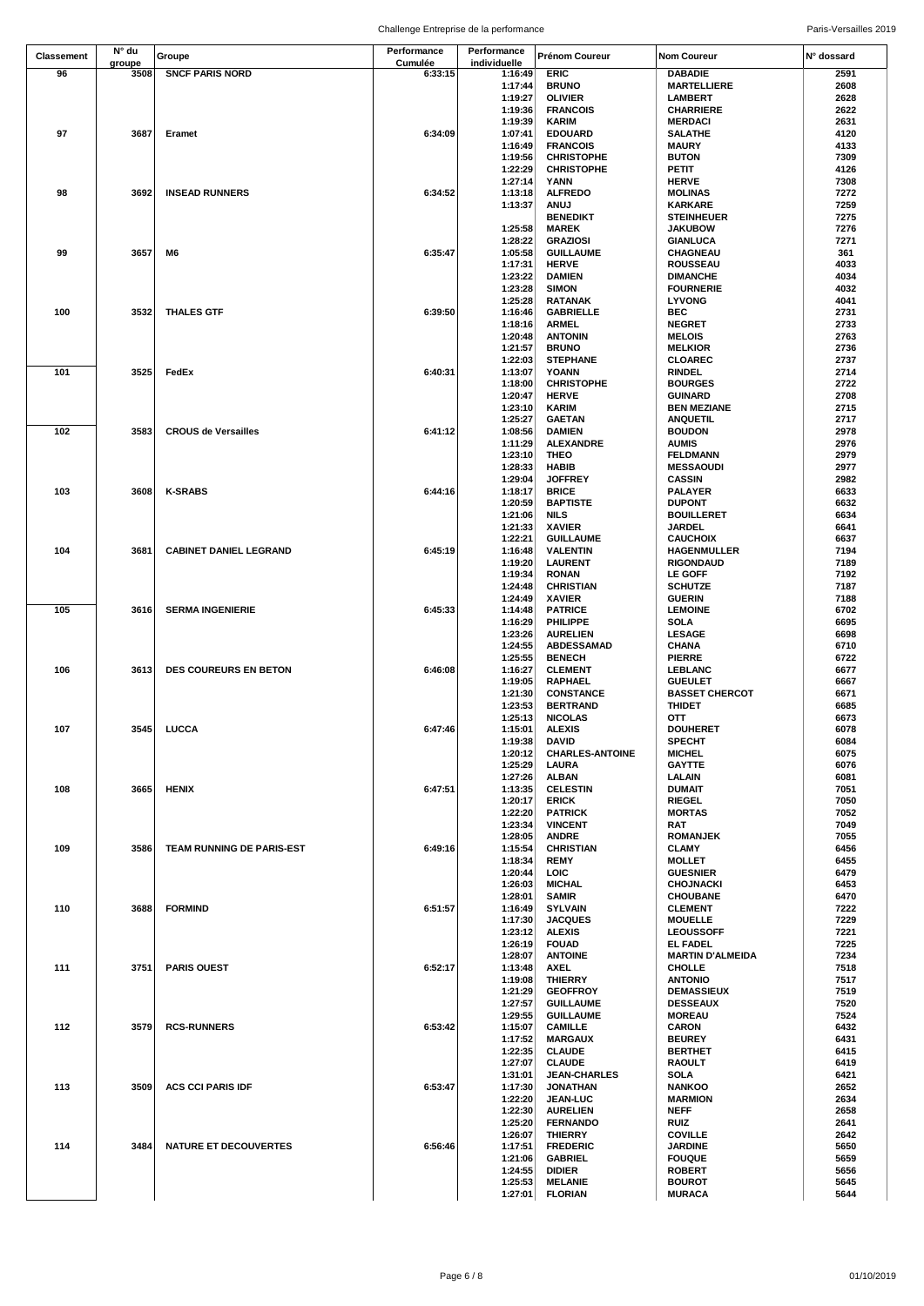|            | N° du  |                               | Performance | Performance        |                                        |                                 |              |
|------------|--------|-------------------------------|-------------|--------------------|----------------------------------------|---------------------------------|--------------|
| Classement | groupe | Groupe                        | Cumulée     | individuelle       | Prénom Coureur                         | <b>Nom Coureur</b>              | N° dossard   |
| 96         | 3508   | <b>SNCF PARIS NORD</b>        | 6:33:15     | 1:16:49            | <b>ERIC</b>                            | <b>DABADIE</b>                  | 2591         |
|            |        |                               |             | 1:17:44            | <b>BRUNO</b>                           | <b>MARTELLIERE</b>              | 2608         |
|            |        |                               |             | 1:19:27            | <b>OLIVIER</b>                         | LAMBERT                         | 2628         |
|            |        |                               |             | 1:19:36            | <b>FRANCOIS</b>                        | <b>CHARRIERE</b>                | 2622         |
|            |        |                               |             | 1:19:39            | <b>KARIM</b>                           | <b>MERDACI</b>                  | 2631         |
| 97         | 3687   | Eramet                        | 6:34:09     | 1:07:41            | <b>EDOUARD</b>                         | <b>SALATHE</b>                  | 4120         |
|            |        |                               |             | 1:16:49            | <b>FRANCOIS</b>                        | <b>MAURY</b>                    | 4133         |
|            |        |                               |             | 1:19:56<br>1:22:29 | <b>CHRISTOPHE</b><br><b>CHRISTOPHE</b> | <b>BUTON</b><br>PETIT           | 7309<br>4126 |
|            |        |                               |             | 1:27:14            | YANN                                   | <b>HERVE</b>                    | 7308         |
| 98         | 3692   | <b>INSEAD RUNNERS</b>         | 6:34:52     | 1:13:18            | <b>ALFREDO</b>                         | <b>MOLINAS</b>                  | 7272         |
|            |        |                               |             | 1:13:37            | <b>ANUJ</b>                            | <b>KARKARE</b>                  | 7259         |
|            |        |                               |             |                    | <b>BENEDIKT</b>                        | <b>STEINHEUER</b>               | 7275         |
|            |        |                               |             | 1:25:58            | <b>MAREK</b>                           | <b>JAKUBOW</b>                  | 7276         |
|            |        |                               |             | 1:28:22            | <b>GRAZIOSI</b>                        | GIANLUCA                        | 7271         |
| 99         | 3657   | M6                            | 6:35:47     | 1:05:58            | <b>GUILLAUME</b>                       | CHAGNEAU                        | 361          |
|            |        |                               |             | 1:17:31            | <b>HERVE</b>                           | <b>ROUSSEAU</b>                 | 4033         |
|            |        |                               |             | 1:23:22            | <b>DAMIEN</b>                          | <b>DIMANCHE</b>                 | 4034         |
|            |        |                               |             | 1:23:28            | <b>SIMON</b>                           | <b>FOURNERIE</b>                | 4032         |
|            |        |                               |             | 1:25:28            | <b>RATANAK</b>                         | <b>LYVONG</b>                   | 4041         |
| 100        | 3532   | <b>THALES GTF</b>             | 6:39:50     | 1:16:46            | <b>GABRIELLE</b>                       | <b>BEC</b>                      | 2731         |
|            |        |                               |             | 1:18:16            | <b>ARMEL</b>                           | <b>NEGRET</b>                   | 2733         |
|            |        |                               |             | 1:20:48            | <b>ANTONIN</b>                         | <b>MELOIS</b>                   | 2763         |
|            |        |                               |             | 1:21:57            | <b>BRUNO</b>                           | <b>MELKIOR</b>                  | 2736         |
| 101        | 3525   | FedEx                         | 6:40:31     | 1:22:03<br>1:13:07 | <b>STEPHANE</b><br><b>YOANN</b>        | CLOAREC                         | 2737<br>2714 |
|            |        |                               |             | 1:18:00            | <b>CHRISTOPHE</b>                      | <b>RINDEL</b><br><b>BOURGES</b> | 2722         |
|            |        |                               |             | 1:20:47            | <b>HERVE</b>                           | <b>GUINARD</b>                  | 2708         |
|            |        |                               |             | 1:23:10            | <b>KARIM</b>                           | <b>BEN MEZIANE</b>              | 2715         |
|            |        |                               |             | 1:25:27            | <b>GAETAN</b>                          | <b>ANQUETIL</b>                 | 2717         |
| 102        | 3583   | <b>CROUS de Versailles</b>    | 6:41:12     | 1:08:56            | <b>DAMIEN</b>                          | <b>BOUDON</b>                   | 2978         |
|            |        |                               |             | 1:11:29            | <b>ALEXANDRE</b>                       | <b>AUMIS</b>                    | 2976         |
|            |        |                               |             | 1:23:10            | THEO                                   | <b>FELDMANN</b>                 | 2979         |
|            |        |                               |             | 1:28:33            | <b>HABIB</b>                           | <b>MESSAOUDI</b>                | 2977         |
|            |        |                               |             | 1:29:04            | <b>JOFFREY</b>                         | <b>CASSIN</b>                   | 2982         |
| 103        | 3608   | <b>K-SRABS</b>                | 6:44:16     | 1:18:17            | <b>BRICE</b>                           | <b>PALAYER</b>                  | 6633         |
|            |        |                               |             | 1:20:59            | <b>BAPTISTE</b>                        | <b>DUPONT</b>                   | 6632         |
|            |        |                               |             | 1:21:06            | <b>NILS</b>                            | <b>BOUILLERET</b>               | 6634         |
|            |        |                               |             | 1:21:33            | <b>XAVIER</b>                          | JARDEL                          | 6641         |
|            |        |                               |             | 1:22:21            | <b>GUILLAUME</b>                       | <b>CAUCHOIX</b>                 | 6637         |
| 104        | 3681   | <b>CABINET DANIEL LEGRAND</b> | 6:45:19     | 1:16:48            | <b>VALENTIN</b>                        | <b>HAGENMULLER</b>              | 7194         |
|            |        |                               |             | 1:19:20            | <b>LAURENT</b>                         | <b>RIGONDAUD</b>                | 7189         |
|            |        |                               |             | 1:19:34            | <b>RONAN</b>                           | <b>LE GOFF</b>                  | 7192<br>7187 |
|            |        |                               |             | 1:24:48<br>1:24:49 | <b>CHRISTIAN</b><br><b>XAVIER</b>      | <b>SCHUTZE</b><br><b>GUERIN</b> | 7188         |
| 105        | 3616   | <b>SERMA INGENIERIE</b>       | 6:45:33     | 1:14:48            | <b>PATRICE</b>                         | <b>LEMOINE</b>                  | 6702         |
|            |        |                               |             | 1:16:29            | PHILIPPE                               | SOLA                            | 6695         |
|            |        |                               |             | 1:23:26            | <b>AURELIEN</b>                        | <b>LESAGE</b>                   | 6698         |
|            |        |                               |             | 1:24:55            | <b>ABDESSAMAD</b>                      | <b>CHANA</b>                    | 6710         |
|            |        |                               |             | 1:25:55            | <b>BENECH</b>                          | <b>PIERRE</b>                   | 6722         |
| 106        | 3613   | <b>DES COUREURS EN BETON</b>  | 6:46:08     | 1:16:27            | <b>CLEMENT</b>                         | LEBLANC                         | 6677         |
|            |        |                               |             | 1:19:05            | RAPHAEL                                | <b>GUEULET</b>                  | 6667         |
|            |        |                               |             | 1:21:30            | <b>CONSTANCE</b>                       | <b>BASSET CHERCOT</b>           | 6671         |
|            |        |                               |             | 1:23:53            | <b>BERTRAND</b>                        | <b>THIDET</b>                   | 6685         |
|            |        |                               |             | 1:25:13            | <b>NICOLAS</b>                         | OTT                             | 6673         |
| 107        | 3545   | LUCCA                         | 6:47:46     | 1:15:01            | <b>ALEXIS</b>                          | <b>DOUHERET</b>                 | 6078         |
|            |        |                               |             | 1:19:38            | <b>DAVID</b>                           | <b>SPECHT</b>                   | 6084         |
|            |        |                               |             | 1:20:12            | <b>CHARLES-ANTOINE</b>                 | <b>MICHEL</b>                   | 6075         |
|            |        |                               |             | 1:25:29            | <b>LAURA</b>                           | <b>GAYTTE</b>                   | 6076         |
|            |        |                               |             | 1:27:26            | <b>ALBAN</b>                           | LALAIN                          | 6081         |
| 108        | 3665   | HENIX                         | 6:47:51     | 1:13:35            | <b>CELESTIN</b>                        | <b>DUMAIT</b>                   | 7051         |
|            |        |                               |             | 1:20:17            | <b>ERICK</b>                           | <b>RIEGEL</b>                   | 7050         |
|            |        |                               |             | 1:22:20<br>1:23:34 | <b>PATRICK</b><br><b>VINCENT</b>       | <b>MORTAS</b><br>RAT            | 7052<br>7049 |
|            |        |                               |             | 1:28:05            | <b>ANDRE</b>                           | <b>ROMANJEK</b>                 | 7055         |
| 109        | 3586   | TEAM RUNNING DE PARIS-EST     | 6:49:16     | 1:15:54            | <b>CHRISTIAN</b>                       | <b>CLAMY</b>                    | 6456         |
|            |        |                               |             | 1:18:34            | <b>REMY</b>                            | <b>MOLLET</b>                   | 6455         |
|            |        |                               |             | 1:20:44            | LOIC                                   | <b>GUESNIER</b>                 | 6479         |
|            |        |                               |             | 1:26:03            | <b>MICHAL</b>                          | <b>CHOJNACKI</b>                | 6453         |
|            |        |                               |             | 1:28:01            | <b>SAMIR</b>                           | <b>CHOUBANE</b>                 | 6470         |
| 110        | 3688   | <b>FORMIND</b>                | 6:51:57     | 1:16:49            | <b>SYLVAIN</b>                         | <b>CLEMENT</b>                  | 7222         |
|            |        |                               |             | 1:17:30            | <b>JACQUES</b>                         | <b>MOUELLE</b>                  | 7229         |
|            |        |                               |             | 1:23:12            | <b>ALEXIS</b>                          | <b>LEOUSSOFF</b>                | 7221         |
|            |        |                               |             | 1:26:19            | <b>FOUAD</b>                           | EL FADEL                        | 7225         |
|            |        |                               |             | 1:28:07            | <b>ANTOINE</b>                         | <b>MARTIN D'ALMEIDA</b>         | 7234         |
| 111        | 3751   | <b>PARIS OUEST</b>            | 6:52:17     | 1:13:48            | <b>AXEL</b>                            | <b>CHOLLE</b>                   | 7518         |
|            |        |                               |             | 1:19:08            | <b>THIERRY</b>                         | <b>ANTONIO</b>                  | 7517         |
|            |        |                               |             | 1:21:29            | <b>GEOFFROY</b>                        | <b>DEMASSIEUX</b>               | 7519         |
|            |        |                               |             | 1:27:57            | <b>GUILLAUME</b>                       | <b>DESSEAUX</b>                 | 7520         |
| 112        | 3579   | <b>RCS-RUNNERS</b>            | 6:53:42     | 1:29:55<br>1:15:07 | <b>GUILLAUME</b><br><b>CAMILLE</b>     | <b>MOREAU</b><br><b>CARON</b>   | 7524<br>6432 |
|            |        |                               |             | 1:17:52            | <b>MARGAUX</b>                         | <b>BEUREY</b>                   | 6431         |
|            |        |                               |             | 1:22:35            | <b>CLAUDE</b>                          | <b>BERTHET</b>                  | 6415         |
|            |        |                               |             | 1:27:07            | <b>CLAUDE</b>                          | RAOULT                          | 6419         |
|            |        |                               |             | 1:31:01            | <b>JEAN-CHARLES</b>                    | <b>SOLA</b>                     | 6421         |
| 113        | 3509   | <b>ACS CCI PARIS IDF</b>      | 6:53:47     | 1:17:30            | <b>JONATHAN</b>                        | <b>NANKOO</b>                   | 2652         |
|            |        |                               |             | 1:22:20            | <b>JEAN-LUC</b>                        | <b>MARMION</b>                  | 2634         |
|            |        |                               |             | 1:22:30            | <b>AURELIEN</b>                        | <b>NEFF</b>                     | 2658         |
|            |        |                               |             | 1:25:20            | <b>FERNANDO</b>                        | <b>RUIZ</b>                     | 2641         |
|            |        |                               |             | 1:26:07            | <b>THIERRY</b>                         | <b>COVILLE</b>                  | 2642         |
| 114        | 3484   | <b>NATURE ET DECOUVERTES</b>  | 6:56:46     | 1:17:51            | <b>FREDERIC</b>                        | <b>JARDINE</b>                  | 5650         |
|            |        |                               |             | 1:21:06            | <b>GABRIEL</b>                         | <b>FOUQUE</b>                   | 5659         |
|            |        |                               |             | 1:24:55            | <b>DIDIER</b>                          | <b>ROBERT</b>                   | 5656         |
|            |        |                               |             | 1:25:53            | <b>MELANIE</b>                         | <b>BOUROT</b>                   | 5645         |
|            |        |                               |             | 1:27:01            | <b>FLORIAN</b>                         | <b>MURACA</b>                   | 5644         |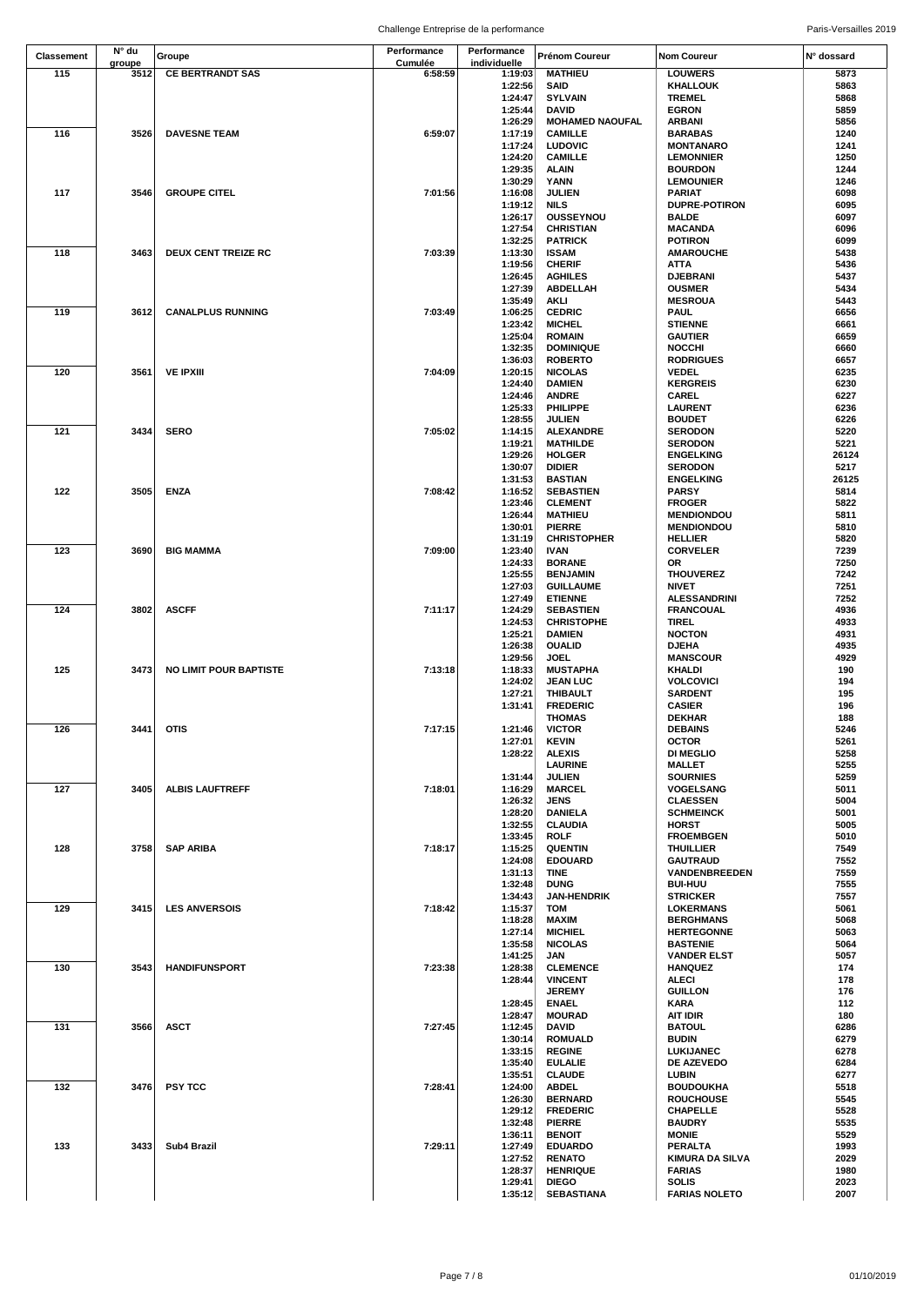| Classement | N° du<br>groupe | Groupe                        | Performance<br>Cumulée | Performance<br>individuelle | Prénom Coureur                   | <b>Nom Coureur</b>                 | N° dossard    |
|------------|-----------------|-------------------------------|------------------------|-----------------------------|----------------------------------|------------------------------------|---------------|
| 115        | 3512            | <b>CE BERTRANDT SAS</b>       | 6:58:59                | 1:19:03                     | <b>MATHIEU</b>                   | <b>LOUWERS</b>                     | 5873          |
|            |                 |                               |                        | 1:22:56                     | SAID                             | <b>KHALLOUK</b>                    | 5863          |
|            |                 |                               |                        | 1:24:47                     | <b>SYLVAIN</b>                   | <b>TREMEL</b>                      | 5868          |
|            |                 |                               |                        | 1:25:44                     | DAVID                            | <b>EGRON</b>                       | 5859          |
|            |                 |                               |                        | 1:26:29                     | <b>MOHAMED NAOUFAL</b>           | <b>ARBANI</b>                      | 5856          |
| 116        | 3526            | <b>DAVESNE TEAM</b>           | 6:59:07                | 1:17:19                     | <b>CAMILLE</b>                   | <b>BARABAS</b>                     | 1240          |
|            |                 |                               |                        | 1:17:24                     | <b>LUDOVIC</b>                   | <b>MONTANARO</b>                   | 1241          |
|            |                 |                               |                        | 1:24:20                     | <b>CAMILLE</b>                   | <b>LEMONNIER</b>                   | 1250          |
|            |                 |                               |                        | 1:29:35                     | ALAIN                            | <b>BOURDON</b>                     | 1244          |
|            |                 |                               |                        | 1:30:29                     | YANN                             | <b>LEMOUNIER</b>                   | 1246          |
| 117        | 3546            | <b>GROUPE CITEL</b>           | 7:01:56                | 1:16:08                     | JULIEN                           | PARIAT                             | 6098          |
|            |                 |                               |                        | 1:19:12                     | <b>NILS</b>                      | <b>DUPRE-POTIRON</b>               | 6095          |
|            |                 |                               |                        | 1:26:17                     | <b>OUSSEYNOU</b>                 | <b>BALDE</b>                       | 6097          |
|            |                 |                               |                        | 1:27:54                     | <b>CHRISTIAN</b>                 | <b>MACANDA</b>                     | 6096          |
|            |                 |                               |                        | 1:32:25                     | <b>PATRICK</b>                   | <b>POTIRON</b>                     | 6099          |
| 118        | 3463            | DEUX CENT TREIZE RC           | 7:03:39                | 1:13:30                     | <b>ISSAM</b>                     | <b>AMAROUCHE</b>                   | 5438          |
|            |                 |                               |                        | 1:19:56                     | <b>CHERIF</b>                    | <b>ATTA</b>                        | 5436          |
|            |                 |                               |                        | 1:26:45                     | <b>AGHILES</b>                   | <b>DJEBRANI</b>                    | 5437          |
|            |                 |                               |                        | 1:27:39                     | ABDELLAH                         | <b>OUSMER</b>                      | 5434          |
| 119        | 3612            | <b>CANALPLUS RUNNING</b>      | 7:03:49                | 1:35:49                     | AKLI                             | <b>MESROUA</b>                     | 5443          |
|            |                 |                               |                        | 1:06:25                     | <b>CEDRIC</b>                    | <b>PAUL</b>                        | 6656          |
|            |                 |                               |                        | 1:23:42                     | <b>MICHEL</b>                    | <b>STIENNE</b>                     | 6661          |
|            |                 |                               |                        | 1:25:04                     | <b>ROMAIN</b>                    | <b>GAUTIER</b>                     | 6659          |
|            |                 |                               |                        | 1:32:35                     | <b>DOMINIQUE</b>                 | <b>NOCCHI</b>                      | 6660          |
|            |                 |                               |                        | 1:36:03                     | <b>ROBERTO</b>                   | <b>RODRIGUES</b>                   | 6657          |
| 120        | 3561            | <b>VE IPXIII</b>              | 7:04:09                | 1:20:15                     | <b>NICOLAS</b>                   | <b>VEDEL</b>                       | 6235          |
|            |                 |                               |                        | 1:24:40                     | <b>DAMIEN</b>                    | <b>KERGREIS</b>                    | 6230          |
|            |                 |                               |                        | 1:24:46                     | <b>ANDRE</b>                     | <b>CAREL</b>                       | 6227          |
|            |                 |                               |                        | 1:25:33                     | <b>PHILIPPE</b>                  | <b>LAURENT</b>                     | 6236          |
|            | 3434            | <b>SERO</b>                   |                        | 1:28:55                     | JULIEN                           | <b>BOUDET</b>                      | 6226          |
| 121        |                 |                               | 7:05:02                | 1:14:15                     | <b>ALEXANDRE</b>                 | <b>SERODON</b><br><b>SERODON</b>   | 5220          |
|            |                 |                               |                        | 1:19:21                     | <b>MATHILDE</b>                  |                                    | 5221          |
|            |                 |                               |                        | 1:29:26<br>1:30:07          | <b>HOLGER</b>                    | <b>ENGELKING</b>                   | 26124         |
|            |                 |                               |                        |                             | <b>DIDIER</b>                    | <b>SERODON</b><br><b>ENGELKING</b> | 5217<br>26125 |
|            |                 |                               |                        | 1:31:53                     | <b>BASTIAN</b>                   |                                    |               |
| 122        | 3505            | <b>ENZA</b>                   | 7:08:42                | 1:16:52                     | <b>SEBASTIEN</b>                 | <b>PARSY</b>                       | 5814          |
|            |                 |                               |                        | 1:23:46<br>1:26:44          | <b>CLEMENT</b><br><b>MATHIEU</b> | <b>FROGER</b><br><b>MENDIONDOU</b> | 5822<br>5811  |
|            |                 |                               |                        | 1:30:01                     | <b>PIERRE</b>                    | <b>MENDIONDOU</b>                  | 5810          |
|            |                 |                               |                        | 1:31:19                     | <b>CHRISTOPHER</b>               | <b>HELLIER</b>                     | 5820          |
| 123        | 3690            |                               | 7:09:00                |                             |                                  |                                    | 7239          |
|            |                 | <b>BIG MAMMA</b>              |                        | 1:23:40<br>1:24:33          | <b>IVAN</b><br><b>BORANE</b>     | <b>CORVELER</b><br>OR.             | 7250          |
|            |                 |                               |                        | 1:25:55                     | <b>BENJAMIN</b>                  | <b>THOUVEREZ</b>                   | 7242          |
|            |                 |                               |                        | 1:27:03                     | <b>GUILLAUME</b>                 | <b>NIVET</b>                       | 7251          |
|            |                 |                               |                        | 1:27:49                     | <b>ETIENNE</b>                   | <b>ALESSANDRINI</b>                | 7252          |
| 124        | 3802            | <b>ASCFF</b>                  | 7:11:17                | 1:24:29                     | <b>SEBASTIEN</b>                 | <b>FRANCOUAL</b>                   | 4936          |
|            |                 |                               |                        | 1:24:53                     | <b>CHRISTOPHE</b>                | <b>TIREL</b>                       | 4933          |
|            |                 |                               |                        | 1:25:21                     | <b>DAMIEN</b>                    | <b>NOCTON</b>                      | 4931          |
|            |                 |                               |                        | 1:26:38                     | <b>OUALID</b>                    | <b>DJEHA</b>                       | 4935          |
|            |                 |                               |                        | 1:29:56                     | JOEL                             | <b>MANSCOUR</b>                    | 4929          |
| 125        | 3473            | <b>NO LIMIT POUR BAPTISTE</b> | 7:13:18                | 1:18:33                     | <b>MUSTAPHA</b>                  | <b>KHALDI</b>                      | 190           |
|            |                 |                               |                        | 1:24:02                     | <b>JEAN LUC</b>                  | <b>VOLCOVICI</b>                   | 194           |
|            |                 |                               |                        | 1:27:21                     | <b>THIBAULT</b>                  | <b>SARDENT</b>                     | 195           |
|            |                 |                               |                        | 1:31:41                     | <b>FREDERIC</b>                  | <b>CASIER</b>                      | 196           |
|            |                 |                               |                        |                             | <b>THOMAS</b>                    | <b>DEKHAR</b>                      | 188           |
| 126        |                 | 3441 OTIS                     | 7:17:15                | 1:21:46                     | <b>VICTOR</b>                    | <b>DEBAINS</b>                     | 5246          |
|            |                 |                               |                        | 1:27:01                     | <b>KEVIN</b>                     | <b>OCTOR</b>                       | 5261          |
|            |                 |                               |                        | 1:28:22                     | <b>ALEXIS</b>                    | <b>DI MEGLIO</b>                   | 5258          |
|            |                 |                               |                        |                             | <b>LAURINE</b>                   | <b>MALLET</b>                      | 5255          |
|            |                 |                               |                        | 1:31:44                     | JULIEN                           | <b>SOURNIES</b>                    | 5259          |
| 127        | 3405            | <b>ALBIS LAUFTREFF</b>        | 7:18:01                | 1:16:29                     | <b>MARCEL</b>                    | <b>VOGELSANG</b>                   | 5011          |
|            |                 |                               |                        | 1:26:32                     | <b>JENS</b>                      | <b>CLAESSEN</b>                    | 5004          |
|            |                 |                               |                        | 1:28:20                     | <b>DANIELA</b>                   | <b>SCHMEINCK</b>                   | 5001          |
|            |                 |                               |                        | 1:32:55                     | <b>CLAUDIA</b>                   | <b>HORST</b>                       | 5005          |
|            |                 |                               |                        | 1:33:45                     | <b>ROLF</b>                      | <b>FROEMBGEN</b>                   | 5010          |
| 128        | 3758            | <b>SAP ARIBA</b>              | 7:18:17                | 1:15:25                     | <b>QUENTIN</b>                   | <b>THUILLIER</b>                   | 7549          |
|            |                 |                               |                        | 1:24:08                     | <b>EDOUARD</b>                   | <b>GAUTRAUD</b>                    | 7552          |
|            |                 |                               |                        | 1:31:13                     | TINE                             | VANDENBREEDEN                      | 7559          |
|            |                 |                               |                        | 1:32:48                     | <b>DUNG</b>                      | <b>BUI-HUU</b>                     | 7555          |
|            |                 |                               |                        | 1:34:43                     | <b>JAN-HENDRIK</b>               | <b>STRICKER</b>                    | 7557          |
| 129        | 3415            | <b>LES ANVERSOIS</b>          | 7:18:42                | 1:15:37                     | <b>TOM</b>                       | <b>LOKERMANS</b>                   | 5061          |
|            |                 |                               |                        | 1:18:28                     | MAXIM                            | <b>BERGHMANS</b>                   | 5068          |
|            |                 |                               |                        | 1:27:14                     | <b>MICHIEL</b>                   | <b>HERTEGONNE</b>                  | 5063          |
|            |                 |                               |                        | 1:35:58                     | <b>NICOLAS</b>                   | <b>BASTENIE</b>                    | 5064          |
|            |                 |                               |                        | 1:41:25                     | JAN                              | <b>VANDER ELST</b>                 | 5057          |
| 130        | 3543            | <b>HANDIFUNSPORT</b>          | 7:23:38                | 1:28:38                     | <b>CLEMENCE</b>                  | <b>HANQUEZ</b>                     | 174           |
|            |                 |                               |                        | 1:28:44                     | <b>VINCENT</b>                   | <b>ALECI</b>                       | 178           |
|            |                 |                               |                        |                             | <b>JEREMY</b>                    | <b>GUILLON</b>                     | 176           |
|            |                 |                               |                        | 1:28:45                     | <b>ENAEL</b>                     | KARA                               | 112           |
|            |                 |                               |                        | 1:28:47                     | <b>MOURAD</b>                    | <b>AIT IDIR</b>                    | 180           |
| 131        | 3566            | <b>ASCT</b>                   | 7:27:45                | 1:12:45                     | DAVID                            | <b>BATOUL</b>                      | 6286          |
|            |                 |                               |                        | 1:30:14                     | <b>ROMUALD</b>                   | <b>BUDIN</b>                       | 6279          |
|            |                 |                               |                        | 1:33:15                     | <b>REGINE</b>                    | LUKIJANEC                          | 6278          |
|            |                 |                               |                        | 1:35:40                     | <b>EULALIE</b>                   | DE AZEVEDO                         | 6284          |
|            |                 |                               |                        | 1:35:51                     | <b>CLAUDE</b>                    | LUBIN                              | 6277          |
| 132        | 3476            | <b>PSY TCC</b>                | 7:28:41                | 1:24:00                     | <b>ABDEL</b>                     | <b>BOUDOUKHA</b>                   | 5518          |
|            |                 |                               |                        | 1:26:30                     | <b>BERNARD</b>                   | <b>ROUCHOUSE</b>                   | 5545          |
|            |                 |                               |                        | 1:29:12                     | <b>FREDERIC</b>                  | <b>CHAPELLE</b>                    | 5528          |
|            |                 |                               |                        | 1:32:48                     | <b>PIERRE</b>                    | <b>BAUDRY</b>                      | 5535          |
|            |                 |                               |                        | 1:36:11                     | <b>BENOIT</b>                    | <b>MONIE</b>                       | 5529          |
| 133        | 3433            | Sub4 Brazil                   | 7:29:11                | 1:27:49                     | <b>EDUARDO</b>                   | PERALTA                            | 1993          |
|            |                 |                               |                        | 1:27:52                     | <b>RENATO</b>                    | <b>KIMURA DA SILVA</b>             | 2029          |
|            |                 |                               |                        | 1:28:37                     | <b>HENRIQUE</b>                  | <b>FARIAS</b>                      | 1980          |
|            |                 |                               |                        | 1:29:41                     | <b>DIEGO</b>                     | SOLIS                              | 2023          |
|            |                 |                               |                        | 1:35:12                     | <b>SEBASTIANA</b>                | <b>FARIAS NOLETO</b>               | 2007          |
|            |                 |                               |                        |                             |                                  |                                    |               |